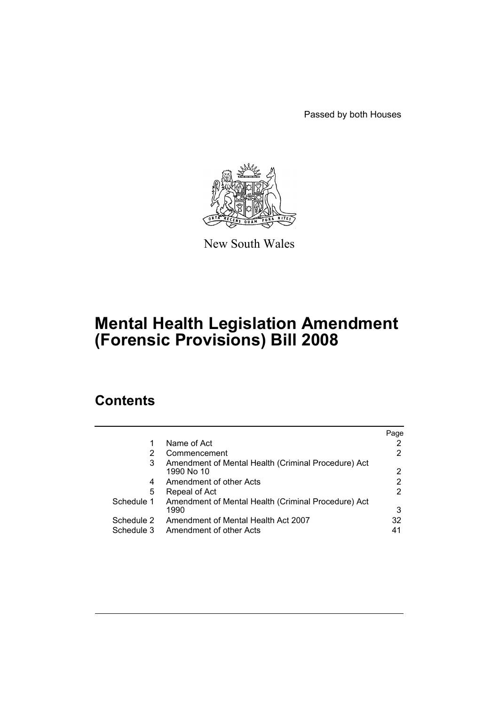Passed by both Houses



New South Wales

# **Mental Health Legislation Amendment (Forensic Provisions) Bill 2008**

# **Contents**

|            |                                                                   | Page |
|------------|-------------------------------------------------------------------|------|
|            | Name of Act                                                       |      |
| 2          | Commencement                                                      |      |
| 3          | Amendment of Mental Health (Criminal Procedure) Act<br>1990 No 10 | 2    |
| 4          | Amendment of other Acts                                           |      |
| 5          | Repeal of Act                                                     | 2    |
| Schedule 1 | Amendment of Mental Health (Criminal Procedure) Act               |      |
|            | 1990                                                              | 3    |
| Schedule 2 | Amendment of Mental Health Act 2007                               | 32   |
| Schedule 3 | Amendment of other Acts                                           | 41   |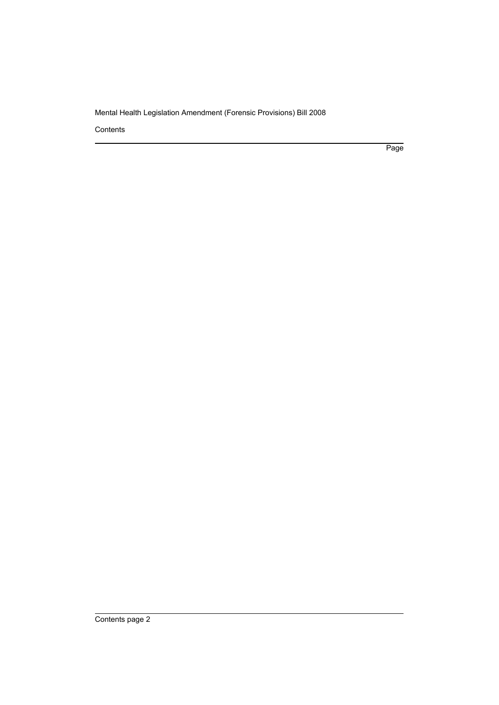**Contents** 

Page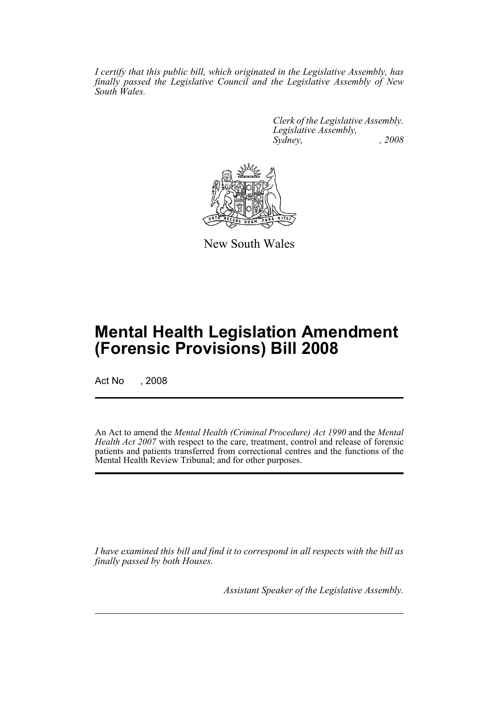*I certify that this public bill, which originated in the Legislative Assembly, has finally passed the Legislative Council and the Legislative Assembly of New South Wales.*

> *Clerk of the Legislative Assembly. Legislative Assembly, Sydney, , 2008*



New South Wales

# **Mental Health Legislation Amendment (Forensic Provisions) Bill 2008**

Act No , 2008

An Act to amend the *Mental Health (Criminal Procedure) Act 1990* and the *Mental Health Act 2007* with respect to the care, treatment, control and release of forensic patients and patients transferred from correctional centres and the functions of the Mental Health Review Tribunal; and for other purposes.

*I have examined this bill and find it to correspond in all respects with the bill as finally passed by both Houses.*

*Assistant Speaker of the Legislative Assembly.*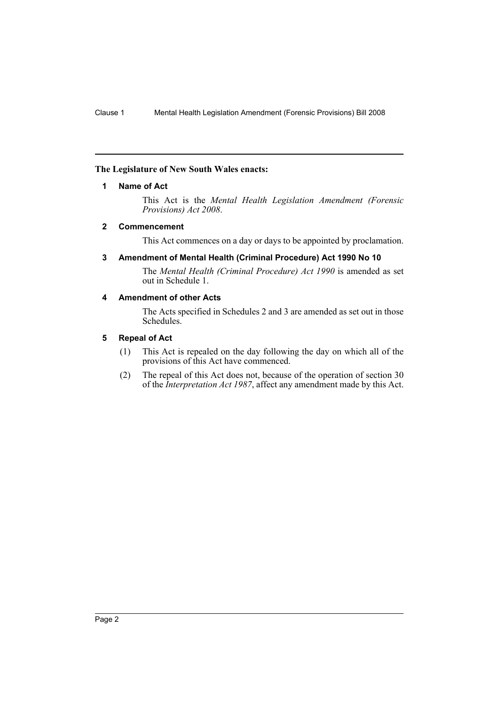## <span id="page-3-0"></span>**The Legislature of New South Wales enacts:**

## **1 Name of Act**

This Act is the *Mental Health Legislation Amendment (Forensic Provisions) Act 2008*.

## <span id="page-3-1"></span>**2 Commencement**

This Act commences on a day or days to be appointed by proclamation.

## <span id="page-3-2"></span>**3 Amendment of Mental Health (Criminal Procedure) Act 1990 No 10**

The *Mental Health (Criminal Procedure) Act 1990* is amended as set out in Schedule 1.

## <span id="page-3-3"></span>**4 Amendment of other Acts**

The Acts specified in Schedules 2 and 3 are amended as set out in those Schedules.

## <span id="page-3-4"></span>**5 Repeal of Act**

- (1) This Act is repealed on the day following the day on which all of the provisions of this Act have commenced.
- (2) The repeal of this Act does not, because of the operation of section 30 of the *Interpretation Act 1987*, affect any amendment made by this Act.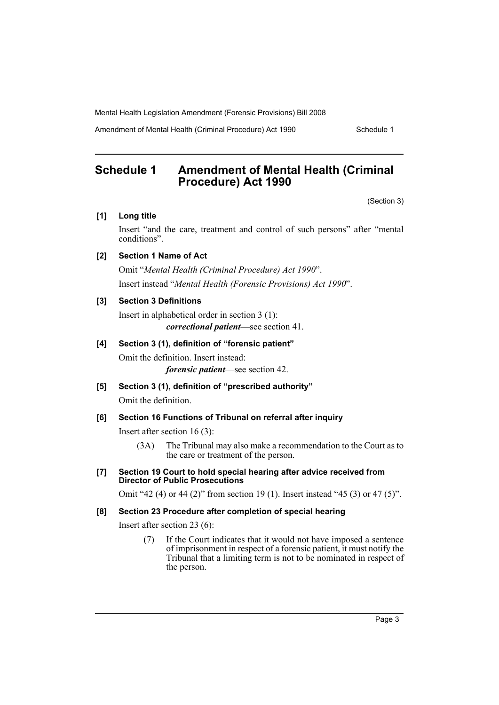Amendment of Mental Health (Criminal Procedure) Act 1990 Schedule 1

## <span id="page-4-0"></span>**Schedule 1 Amendment of Mental Health (Criminal Procedure) Act 1990**

(Section 3)

## **[1] Long title**

Insert "and the care, treatment and control of such persons" after "mental conditions".

## **[2] Section 1 Name of Act**

Omit "*Mental Health (Criminal Procedure) Act 1990*". Insert instead "*Mental Health (Forensic Provisions) Act 1990*".

## **[3] Section 3 Definitions**

Insert in alphabetical order in section 3 (1): *correctional patient*—see section 41.

## **[4] Section 3 (1), definition of "forensic patient"**

Omit the definition. Insert instead: *forensic patient*—see section 42.

## **[5] Section 3 (1), definition of "prescribed authority"**

Omit the definition.

#### **[6] Section 16 Functions of Tribunal on referral after inquiry**

Insert after section 16 (3):

(3A) The Tribunal may also make a recommendation to the Court as to the care or treatment of the person.

#### **[7] Section 19 Court to hold special hearing after advice received from Director of Public Prosecutions**

Omit "42 (4) or 44 (2)" from section 19 (1). Insert instead "45 (3) or 47 (5)".

#### **[8] Section 23 Procedure after completion of special hearing**

Insert after section 23 (6):

(7) If the Court indicates that it would not have imposed a sentence of imprisonment in respect of a forensic patient, it must notify the Tribunal that a limiting term is not to be nominated in respect of the person.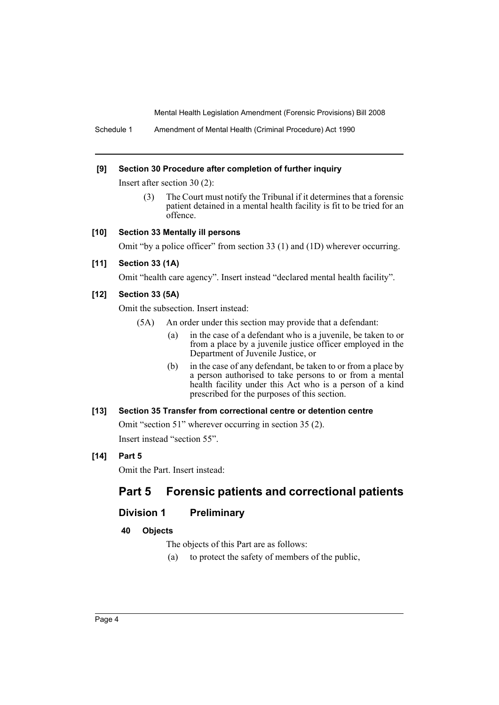Schedule 1 Amendment of Mental Health (Criminal Procedure) Act 1990

#### **[9] Section 30 Procedure after completion of further inquiry**

Insert after section 30 (2):

(3) The Court must notify the Tribunal if it determines that a forensic patient detained in a mental health facility is fit to be tried for an offence.

## **[10] Section 33 Mentally ill persons**

Omit "by a police officer" from section 33 (1) and (1D) wherever occurring.

## **[11] Section 33 (1A)**

Omit "health care agency". Insert instead "declared mental health facility".

## **[12] Section 33 (5A)**

Omit the subsection. Insert instead:

- (5A) An order under this section may provide that a defendant:
	- (a) in the case of a defendant who is a juvenile, be taken to or from a place by a juvenile justice officer employed in the Department of Juvenile Justice, or
	- (b) in the case of any defendant, be taken to or from a place by a person authorised to take persons to or from a mental health facility under this Act who is a person of a kind prescribed for the purposes of this section.

## **[13] Section 35 Transfer from correctional centre or detention centre**

Omit "section 51" wherever occurring in section 35 (2). Insert instead "section 55".

## **[14] Part 5**

Omit the Part. Insert instead:

## **Part 5 Forensic patients and correctional patients**

## **Division 1 Preliminary**

## **40 Objects**

The objects of this Part are as follows:

(a) to protect the safety of members of the public,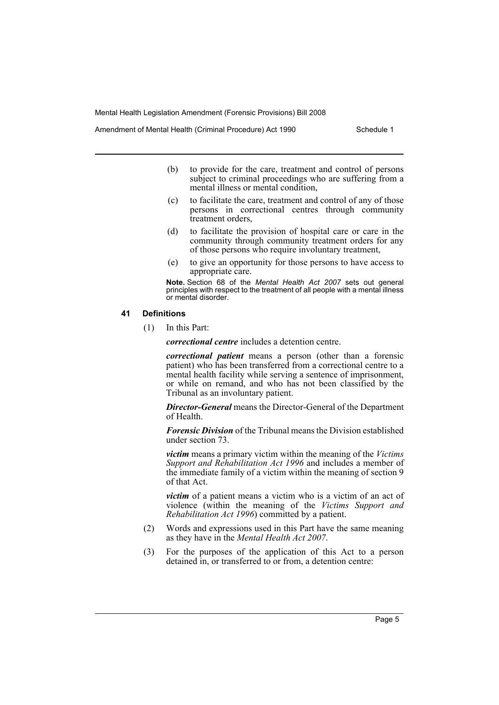Amendment of Mental Health (Criminal Procedure) Act 1990 Schedule 1

- (b) to provide for the care, treatment and control of persons subject to criminal proceedings who are suffering from a mental illness or mental condition,
- (c) to facilitate the care, treatment and control of any of those persons in correctional centres through community treatment orders,
- (d) to facilitate the provision of hospital care or care in the community through community treatment orders for any of those persons who require involuntary treatment,
- (e) to give an opportunity for those persons to have access to appropriate care.

**Note.** Section 68 of the *Mental Health Act 2007* sets out general principles with respect to the treatment of all people with a mental illness or mental disorder.

#### **41 Definitions**

(1) In this Part:

*correctional centre* includes a detention centre.

*correctional patient* means a person (other than a forensic patient) who has been transferred from a correctional centre to a mental health facility while serving a sentence of imprisonment, or while on remand, and who has not been classified by the Tribunal as an involuntary patient.

*Director-General* means the Director-General of the Department of Health.

*Forensic Division* of the Tribunal means the Division established under section 73.

*victim* means a primary victim within the meaning of the *Victims Support and Rehabilitation Act 1996* and includes a member of the immediate family of a victim within the meaning of section 9 of that Act.

*victim* of a patient means a victim who is a victim of an act of violence (within the meaning of the *Victims Support and Rehabilitation Act 1996*) committed by a patient.

- (2) Words and expressions used in this Part have the same meaning as they have in the *Mental Health Act 2007*.
- (3) For the purposes of the application of this Act to a person detained in, or transferred to or from, a detention centre: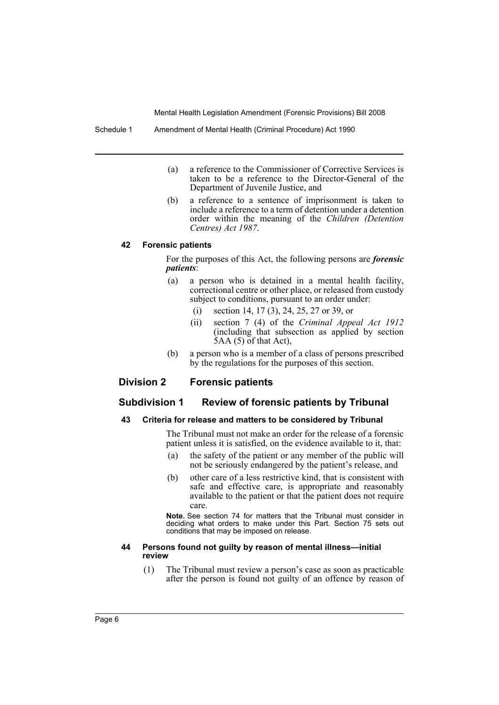- (a) a reference to the Commissioner of Corrective Services is taken to be a reference to the Director-General of the Department of Juvenile Justice, and
- (b) a reference to a sentence of imprisonment is taken to include a reference to a term of detention under a detention order within the meaning of the *Children (Detention Centres) Act 1987*.

#### **42 Forensic patients**

For the purposes of this Act, the following persons are *forensic patients*:

- (a) a person who is detained in a mental health facility, correctional centre or other place, or released from custody subject to conditions, pursuant to an order under:
	- (i) section 14, 17 (3), 24, 25, 27 or 39, or
	- (ii) section 7 (4) of the *Criminal Appeal Act 1912* (including that subsection as applied by section 5AA (5) of that Act),
- (b) a person who is a member of a class of persons prescribed by the regulations for the purposes of this section.

## **Division 2 Forensic patients**

## **Subdivision 1 Review of forensic patients by Tribunal**

#### **43 Criteria for release and matters to be considered by Tribunal**

The Tribunal must not make an order for the release of a forensic patient unless it is satisfied, on the evidence available to it, that:

- (a) the safety of the patient or any member of the public will not be seriously endangered by the patient's release, and
- (b) other care of a less restrictive kind, that is consistent with safe and effective care, is appropriate and reasonably available to the patient or that the patient does not require care.

**Note.** See section 74 for matters that the Tribunal must consider in deciding what orders to make under this Part. Section 75 sets out conditions that may be imposed on release.

#### **44 Persons found not guilty by reason of mental illness—initial review**

(1) The Tribunal must review a person's case as soon as practicable after the person is found not guilty of an offence by reason of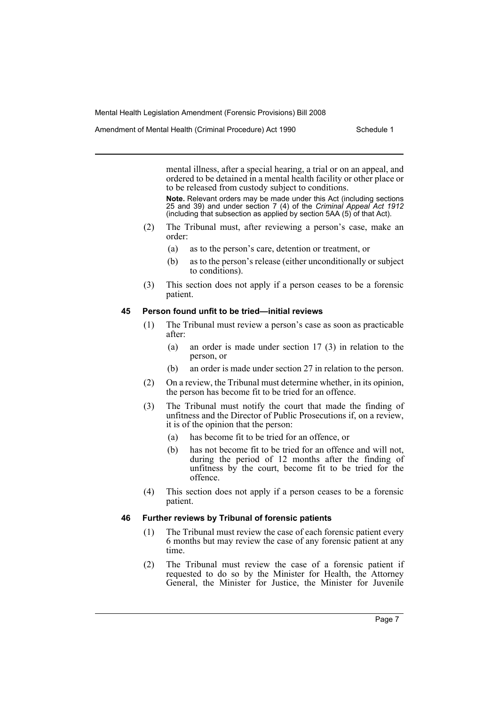mental illness, after a special hearing, a trial or on an appeal, and ordered to be detained in a mental health facility or other place or to be released from custody subject to conditions.

**Note.** Relevant orders may be made under this Act (including sections 25 and 39) and under section 7 (4) of the *Criminal Appeal Act 1912* (including that subsection as applied by section 5AA (5) of that Act).

- (2) The Tribunal must, after reviewing a person's case, make an order:
	- (a) as to the person's care, detention or treatment, or
	- (b) as to the person's release (either unconditionally or subject to conditions).
- (3) This section does not apply if a person ceases to be a forensic patient.

#### **45 Person found unfit to be tried—initial reviews**

- (1) The Tribunal must review a person's case as soon as practicable after:
	- (a) an order is made under section 17 (3) in relation to the person, or
	- (b) an order is made under section 27 in relation to the person.
- (2) On a review, the Tribunal must determine whether, in its opinion, the person has become fit to be tried for an offence.
- (3) The Tribunal must notify the court that made the finding of unfitness and the Director of Public Prosecutions if, on a review, it is of the opinion that the person:
	- (a) has become fit to be tried for an offence, or
	- (b) has not become fit to be tried for an offence and will not, during the period of 12 months after the finding of unfitness by the court, become fit to be tried for the offence.
- (4) This section does not apply if a person ceases to be a forensic patient.

## **46 Further reviews by Tribunal of forensic patients**

- (1) The Tribunal must review the case of each forensic patient every 6 months but may review the case of any forensic patient at any time.
- (2) The Tribunal must review the case of a forensic patient if requested to do so by the Minister for Health, the Attorney General, the Minister for Justice, the Minister for Juvenile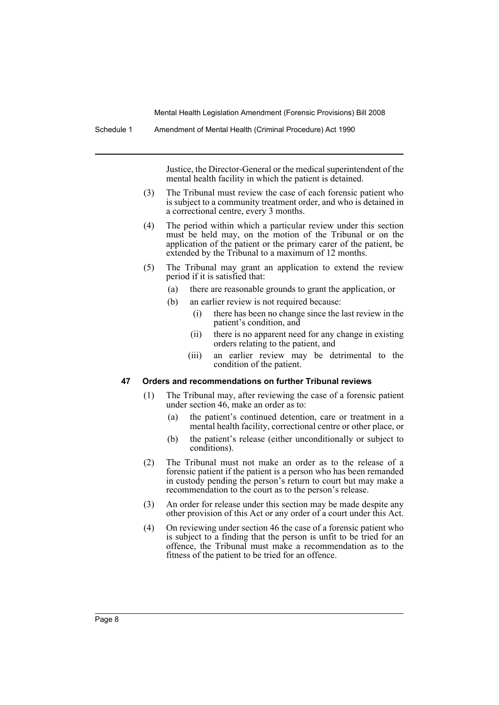Justice, the Director-General or the medical superintendent of the mental health facility in which the patient is detained.

- (3) The Tribunal must review the case of each forensic patient who is subject to a community treatment order, and who is detained in a correctional centre, every 3 months.
- (4) The period within which a particular review under this section must be held may, on the motion of the Tribunal or on the application of the patient or the primary carer of the patient, be extended by the Tribunal to a maximum of 12 months.
- (5) The Tribunal may grant an application to extend the review period if it is satisfied that:
	- (a) there are reasonable grounds to grant the application, or
	- (b) an earlier review is not required because:
		- (i) there has been no change since the last review in the patient's condition, and
		- (ii) there is no apparent need for any change in existing orders relating to the patient, and
		- (iii) an earlier review may be detrimental to the condition of the patient.

## **47 Orders and recommendations on further Tribunal reviews**

- (1) The Tribunal may, after reviewing the case of a forensic patient under section 46, make an order as to:
	- (a) the patient's continued detention, care or treatment in a mental health facility, correctional centre or other place, or
	- (b) the patient's release (either unconditionally or subject to conditions).
- (2) The Tribunal must not make an order as to the release of a forensic patient if the patient is a person who has been remanded in custody pending the person's return to court but may make a recommendation to the court as to the person's release.
- (3) An order for release under this section may be made despite any other provision of this Act or any order of a court under this Act.
- (4) On reviewing under section 46 the case of a forensic patient who is subject to a finding that the person is unfit to be tried for an offence, the Tribunal must make a recommendation as to the fitness of the patient to be tried for an offence.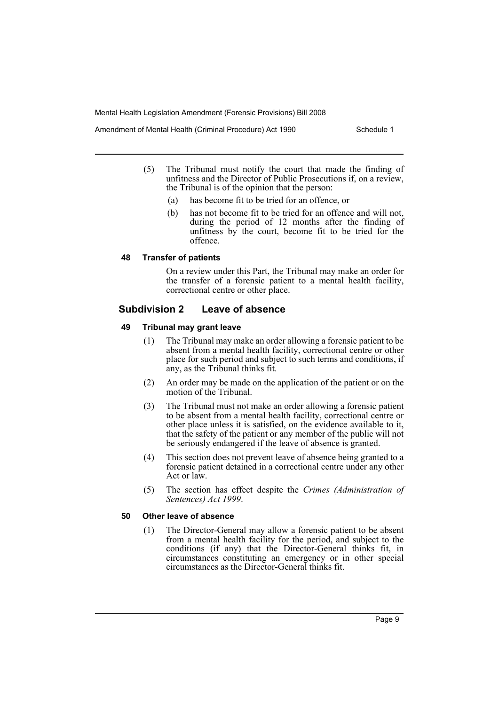Amendment of Mental Health (Criminal Procedure) Act 1990 Schedule 1

- (5) The Tribunal must notify the court that made the finding of unfitness and the Director of Public Prosecutions if, on a review, the Tribunal is of the opinion that the person:
	- (a) has become fit to be tried for an offence, or
	- (b) has not become fit to be tried for an offence and will not, during the period of 12 months after the finding of unfitness by the court, become fit to be tried for the offence.

#### **48 Transfer of patients**

On a review under this Part, the Tribunal may make an order for the transfer of a forensic patient to a mental health facility, correctional centre or other place.

## **Subdivision 2 Leave of absence**

#### **49 Tribunal may grant leave**

- (1) The Tribunal may make an order allowing a forensic patient to be absent from a mental health facility, correctional centre or other place for such period and subject to such terms and conditions, if any, as the Tribunal thinks fit.
- (2) An order may be made on the application of the patient or on the motion of the Tribunal.
- (3) The Tribunal must not make an order allowing a forensic patient to be absent from a mental health facility, correctional centre or other place unless it is satisfied, on the evidence available to it, that the safety of the patient or any member of the public will not be seriously endangered if the leave of absence is granted.
- (4) This section does not prevent leave of absence being granted to a forensic patient detained in a correctional centre under any other Act or law.
- (5) The section has effect despite the *Crimes (Administration of Sentences) Act 1999*.

#### **50 Other leave of absence**

(1) The Director-General may allow a forensic patient to be absent from a mental health facility for the period, and subject to the conditions (if any) that the Director-General thinks fit, in circumstances constituting an emergency or in other special circumstances as the Director-General thinks fit.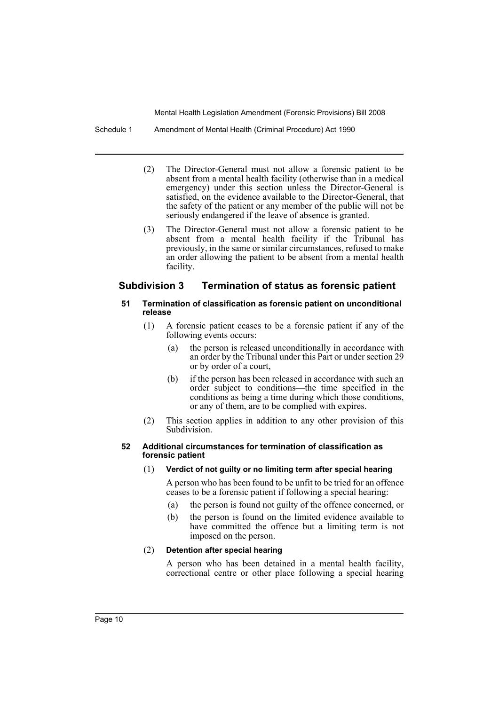#### Schedule 1 Amendment of Mental Health (Criminal Procedure) Act 1990

- (2) The Director-General must not allow a forensic patient to be absent from a mental health facility (otherwise than in a medical emergency) under this section unless the Director-General is satisfied, on the evidence available to the Director-General, that the safety of the patient or any member of the public will not be seriously endangered if the leave of absence is granted.
- (3) The Director-General must not allow a forensic patient to be absent from a mental health facility if the Tribunal has previously, in the same or similar circumstances, refused to make an order allowing the patient to be absent from a mental health facility.

## **Subdivision 3 Termination of status as forensic patient**

#### **51 Termination of classification as forensic patient on unconditional release**

- (1) A forensic patient ceases to be a forensic patient if any of the following events occurs:
	- (a) the person is released unconditionally in accordance with an order by the Tribunal under this Part or under section 29 or by order of a court,
	- (b) if the person has been released in accordance with such an order subject to conditions—the time specified in the conditions as being a time during which those conditions, or any of them, are to be complied with expires.
- (2) This section applies in addition to any other provision of this Subdivision.

#### **52 Additional circumstances for termination of classification as forensic patient**

#### (1) **Verdict of not guilty or no limiting term after special hearing**

A person who has been found to be unfit to be tried for an offence ceases to be a forensic patient if following a special hearing:

- (a) the person is found not guilty of the offence concerned, or
- (b) the person is found on the limited evidence available to have committed the offence but a limiting term is not imposed on the person.

#### (2) **Detention after special hearing**

A person who has been detained in a mental health facility, correctional centre or other place following a special hearing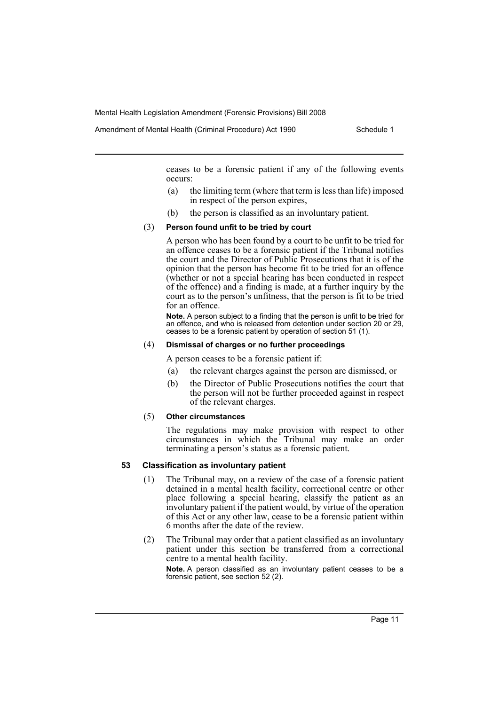Amendment of Mental Health (Criminal Procedure) Act 1990 Schedule 1

ceases to be a forensic patient if any of the following events occurs:

- (a) the limiting term (where that term is less than life) imposed in respect of the person expires,
- (b) the person is classified as an involuntary patient.

#### (3) **Person found unfit to be tried by court**

A person who has been found by a court to be unfit to be tried for an offence ceases to be a forensic patient if the Tribunal notifies the court and the Director of Public Prosecutions that it is of the opinion that the person has become fit to be tried for an offence (whether or not a special hearing has been conducted in respect of the offence) and a finding is made, at a further inquiry by the court as to the person's unfitness, that the person is fit to be tried for an offence.

**Note.** A person subject to a finding that the person is unfit to be tried for an offence, and who is released from detention under section 20 or 29, ceases to be a forensic patient by operation of section 51 (1).

#### (4) **Dismissal of charges or no further proceedings**

A person ceases to be a forensic patient if:

- (a) the relevant charges against the person are dismissed, or
- (b) the Director of Public Prosecutions notifies the court that the person will not be further proceeded against in respect of the relevant charges.

#### (5) **Other circumstances**

The regulations may make provision with respect to other circumstances in which the Tribunal may make an order terminating a person's status as a forensic patient.

#### **53 Classification as involuntary patient**

- (1) The Tribunal may, on a review of the case of a forensic patient detained in a mental health facility, correctional centre or other place following a special hearing, classify the patient as an involuntary patient if the patient would, by virtue of the operation of this Act or any other law, cease to be a forensic patient within 6 months after the date of the review.
- (2) The Tribunal may order that a patient classified as an involuntary patient under this section be transferred from a correctional centre to a mental health facility.

**Note.** A person classified as an involuntary patient ceases to be a forensic patient, see section 52 (2).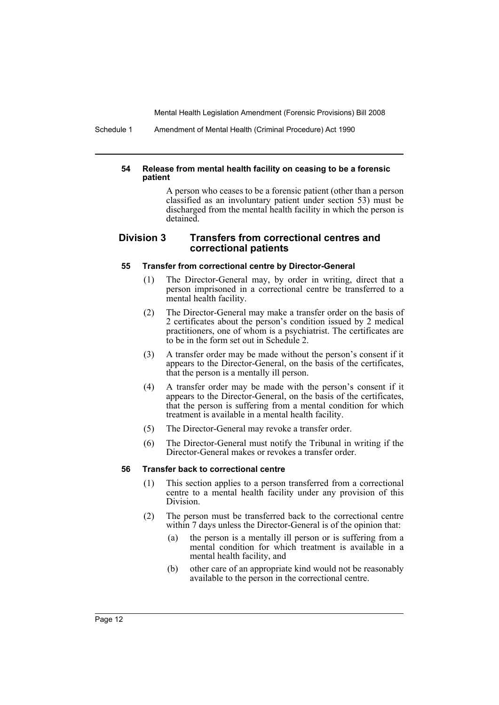Schedule 1 Amendment of Mental Health (Criminal Procedure) Act 1990

#### **54 Release from mental health facility on ceasing to be a forensic patient**

A person who ceases to be a forensic patient (other than a person classified as an involuntary patient under section 53) must be discharged from the mental health facility in which the person is detained.

## **Division 3 Transfers from correctional centres and correctional patients**

## **55 Transfer from correctional centre by Director-General**

- (1) The Director-General may, by order in writing, direct that a person imprisoned in a correctional centre be transferred to a mental health facility.
- (2) The Director-General may make a transfer order on the basis of 2 certificates about the person's condition issued by 2 medical practitioners, one of whom is a psychiatrist. The certificates are to be in the form set out in Schedule 2.
- (3) A transfer order may be made without the person's consent if it appears to the Director-General, on the basis of the certificates, that the person is a mentally ill person.
- (4) A transfer order may be made with the person's consent if it appears to the Director-General, on the basis of the certificates, that the person is suffering from a mental condition for which treatment is available in a mental health facility.
- (5) The Director-General may revoke a transfer order.
- (6) The Director-General must notify the Tribunal in writing if the Director-General makes or revokes a transfer order.

## **56 Transfer back to correctional centre**

- (1) This section applies to a person transferred from a correctional centre to a mental health facility under any provision of this Division.
- (2) The person must be transferred back to the correctional centre within 7 days unless the Director-General is of the opinion that:
	- (a) the person is a mentally ill person or is suffering from a mental condition for which treatment is available in a mental health facility, and
	- (b) other care of an appropriate kind would not be reasonably available to the person in the correctional centre.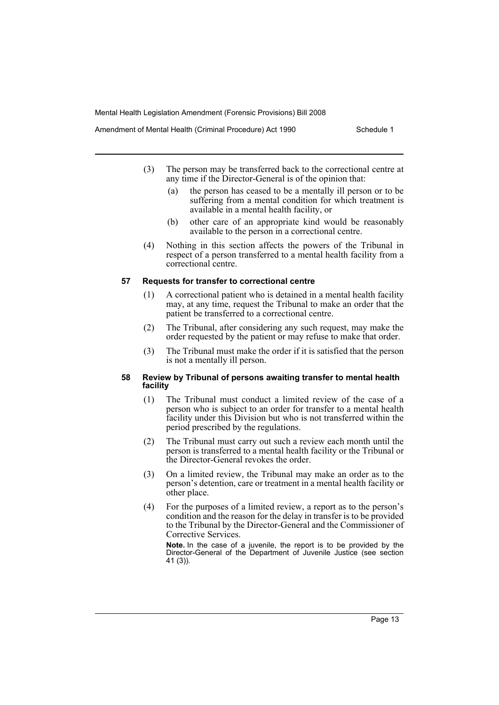Amendment of Mental Health (Criminal Procedure) Act 1990 Schedule 1

- (3) The person may be transferred back to the correctional centre at any time if the Director-General is of the opinion that:
	- (a) the person has ceased to be a mentally ill person or to be suffering from a mental condition for which treatment is available in a mental health facility, or
	- (b) other care of an appropriate kind would be reasonably available to the person in a correctional centre.
- (4) Nothing in this section affects the powers of the Tribunal in respect of a person transferred to a mental health facility from a correctional centre.

## **57 Requests for transfer to correctional centre**

- (1) A correctional patient who is detained in a mental health facility may, at any time, request the Tribunal to make an order that the patient be transferred to a correctional centre.
- (2) The Tribunal, after considering any such request, may make the order requested by the patient or may refuse to make that order.
- (3) The Tribunal must make the order if it is satisfied that the person is not a mentally ill person.

#### **58 Review by Tribunal of persons awaiting transfer to mental health facility**

- (1) The Tribunal must conduct a limited review of the case of a person who is subject to an order for transfer to a mental health facility under this Division but who is not transferred within the period prescribed by the regulations.
- (2) The Tribunal must carry out such a review each month until the person is transferred to a mental health facility or the Tribunal or the Director-General revokes the order.
- (3) On a limited review, the Tribunal may make an order as to the person's detention, care or treatment in a mental health facility or other place.
- (4) For the purposes of a limited review, a report as to the person's condition and the reason for the delay in transfer is to be provided to the Tribunal by the Director-General and the Commissioner of Corrective Services.

**Note.** In the case of a juvenile, the report is to be provided by the Director-General of the Department of Juvenile Justice (see section 41 (3)).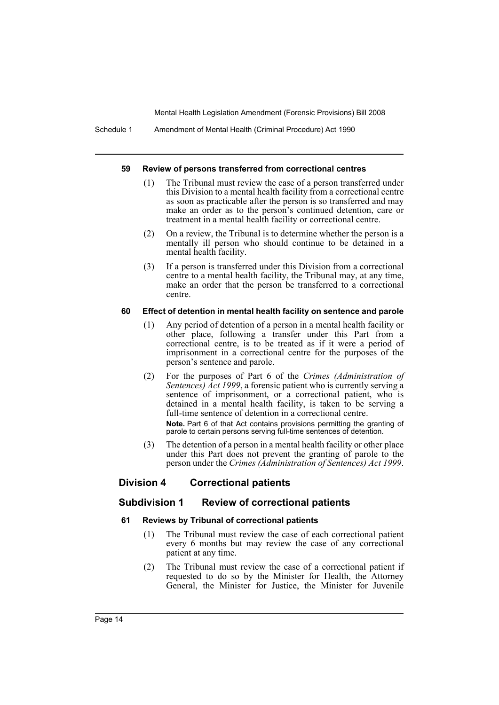Schedule 1 Amendment of Mental Health (Criminal Procedure) Act 1990

#### **59 Review of persons transferred from correctional centres**

- (1) The Tribunal must review the case of a person transferred under this Division to a mental health facility from a correctional centre as soon as practicable after the person is so transferred and may make an order as to the person's continued detention, care or treatment in a mental health facility or correctional centre.
- (2) On a review, the Tribunal is to determine whether the person is a mentally ill person who should continue to be detained in a mental health facility.
- (3) If a person is transferred under this Division from a correctional centre to a mental health facility, the Tribunal may, at any time, make an order that the person be transferred to a correctional centre.

#### **60 Effect of detention in mental health facility on sentence and parole**

- (1) Any period of detention of a person in a mental health facility or other place, following a transfer under this Part from a correctional centre, is to be treated as if it were a period of imprisonment in a correctional centre for the purposes of the person's sentence and parole.
- (2) For the purposes of Part 6 of the *Crimes (Administration of Sentences) Act 1999*, a forensic patient who is currently serving a sentence of imprisonment, or a correctional patient, who is detained in a mental health facility, is taken to be serving a full-time sentence of detention in a correctional centre. **Note.** Part 6 of that Act contains provisions permitting the granting of parole to certain persons serving full-time sentences of detention.
- (3) The detention of a person in a mental health facility or other place under this Part does not prevent the granting of parole to the person under the *Crimes (Administration of Sentences) Act 1999*.

## **Division 4 Correctional patients**

## **Subdivision 1 Review of correctional patients**

## **61 Reviews by Tribunal of correctional patients**

- (1) The Tribunal must review the case of each correctional patient every 6 months but may review the case of any correctional patient at any time.
- (2) The Tribunal must review the case of a correctional patient if requested to do so by the Minister for Health, the Attorney General, the Minister for Justice, the Minister for Juvenile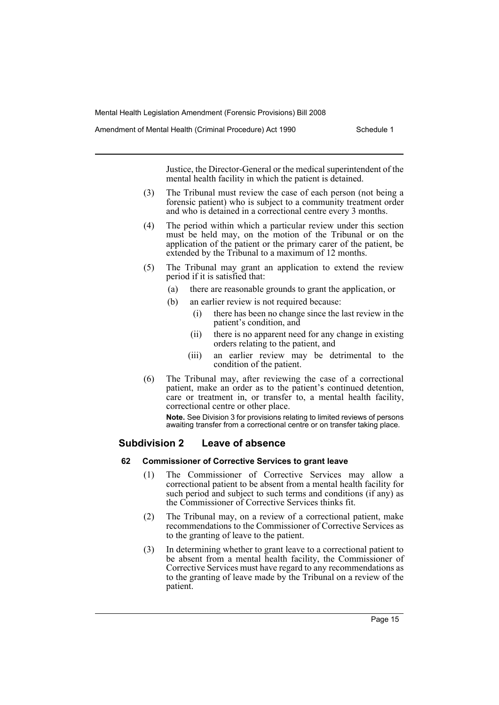Amendment of Mental Health (Criminal Procedure) Act 1990 Schedule 1

Justice, the Director-General or the medical superintendent of the mental health facility in which the patient is detained.

- (3) The Tribunal must review the case of each person (not being a forensic patient) who is subject to a community treatment order and who is detained in a correctional centre every 3 months.
- (4) The period within which a particular review under this section must be held may, on the motion of the Tribunal or on the application of the patient or the primary carer of the patient, be extended by the Tribunal to a maximum of 12 months.
- (5) The Tribunal may grant an application to extend the review period if it is satisfied that:
	- (a) there are reasonable grounds to grant the application, or
	- (b) an earlier review is not required because:
		- (i) there has been no change since the last review in the patient's condition, and
		- (ii) there is no apparent need for any change in existing orders relating to the patient, and
		- (iii) an earlier review may be detrimental to the condition of the patient.
- (6) The Tribunal may, after reviewing the case of a correctional patient, make an order as to the patient's continued detention, care or treatment in, or transfer to, a mental health facility, correctional centre or other place.

**Note.** See Division 3 for provisions relating to limited reviews of persons awaiting transfer from a correctional centre or on transfer taking place.

## **Subdivision 2 Leave of absence**

## **62 Commissioner of Corrective Services to grant leave**

- (1) The Commissioner of Corrective Services may allow a correctional patient to be absent from a mental health facility for such period and subject to such terms and conditions (if any) as the Commissioner of Corrective Services thinks fit.
- (2) The Tribunal may, on a review of a correctional patient, make recommendations to the Commissioner of Corrective Services as to the granting of leave to the patient.
- (3) In determining whether to grant leave to a correctional patient to be absent from a mental health facility, the Commissioner of Corrective Services must have regard to any recommendations as to the granting of leave made by the Tribunal on a review of the patient.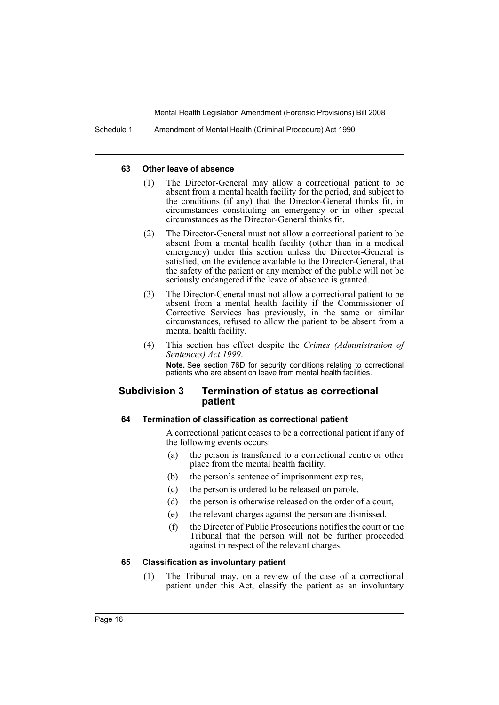Schedule 1 Amendment of Mental Health (Criminal Procedure) Act 1990

#### **63 Other leave of absence**

- (1) The Director-General may allow a correctional patient to be absent from a mental health facility for the period, and subject to the conditions (if any) that the Director-General thinks fit, in circumstances constituting an emergency or in other special circumstances as the Director-General thinks fit.
- (2) The Director-General must not allow a correctional patient to be absent from a mental health facility (other than in a medical emergency) under this section unless the Director-General is satisfied, on the evidence available to the Director-General, that the safety of the patient or any member of the public will not be seriously endangered if the leave of absence is granted.
- (3) The Director-General must not allow a correctional patient to be absent from a mental health facility if the Commissioner of Corrective Services has previously, in the same or similar circumstances, refused to allow the patient to be absent from a mental health facility.
- (4) This section has effect despite the *Crimes (Administration of Sentences) Act 1999*. **Note.** See section 76D for security conditions relating to correctional patients who are absent on leave from mental health facilities.

## **Subdivision 3 Termination of status as correctional patient**

## **64 Termination of classification as correctional patient**

A correctional patient ceases to be a correctional patient if any of the following events occurs:

- (a) the person is transferred to a correctional centre or other place from the mental health facility,
- (b) the person's sentence of imprisonment expires,
- (c) the person is ordered to be released on parole,
- (d) the person is otherwise released on the order of a court,
- (e) the relevant charges against the person are dismissed,
- (f) the Director of Public Prosecutions notifies the court or the Tribunal that the person will not be further proceeded against in respect of the relevant charges.

#### **65 Classification as involuntary patient**

(1) The Tribunal may, on a review of the case of a correctional patient under this Act, classify the patient as an involuntary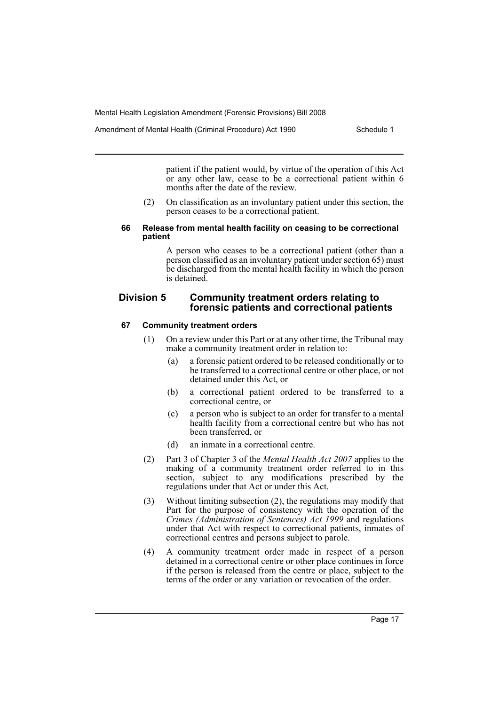patient if the patient would, by virtue of the operation of this Act or any other law, cease to be a correctional patient within 6 months after the date of the review.

(2) On classification as an involuntary patient under this section, the person ceases to be a correctional patient.

#### **66 Release from mental health facility on ceasing to be correctional patient**

A person who ceases to be a correctional patient (other than a person classified as an involuntary patient under section 65) must be discharged from the mental health facility in which the person is detained.

## **Division 5 Community treatment orders relating to forensic patients and correctional patients**

#### **67 Community treatment orders**

- (1) On a review under this Part or at any other time, the Tribunal may make a community treatment order in relation to:
	- (a) a forensic patient ordered to be released conditionally or to be transferred to a correctional centre or other place, or not detained under this Act, or
	- (b) a correctional patient ordered to be transferred to a correctional centre, or
	- (c) a person who is subject to an order for transfer to a mental health facility from a correctional centre but who has not been transferred, or
	- (d) an inmate in a correctional centre.
- (2) Part 3 of Chapter 3 of the *Mental Health Act 2007* applies to the making of a community treatment order referred to in this section, subject to any modifications prescribed by the regulations under that Act or under this Act.
- (3) Without limiting subsection (2), the regulations may modify that Part for the purpose of consistency with the operation of the *Crimes (Administration of Sentences) Act 1999* and regulations under that Act with respect to correctional patients, inmates of correctional centres and persons subject to parole.
- (4) A community treatment order made in respect of a person detained in a correctional centre or other place continues in force if the person is released from the centre or place, subject to the terms of the order or any variation or revocation of the order.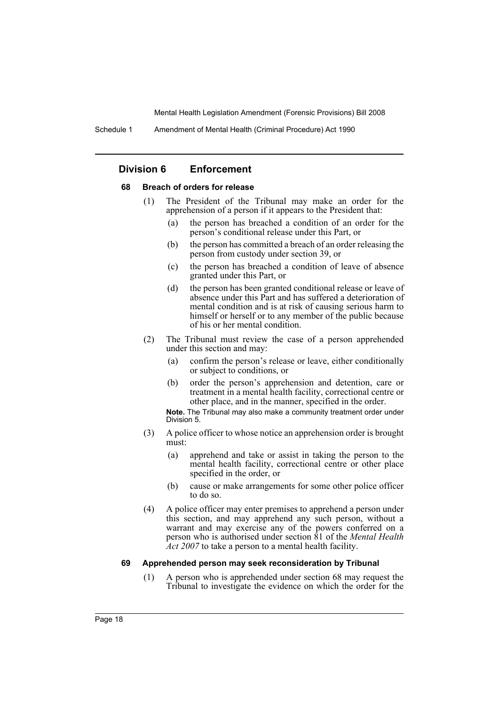Schedule 1 Amendment of Mental Health (Criminal Procedure) Act 1990

## **Division 6 Enforcement**

#### **68 Breach of orders for release**

- (1) The President of the Tribunal may make an order for the apprehension of a person if it appears to the President that:
	- (a) the person has breached a condition of an order for the person's conditional release under this Part, or
	- (b) the person has committed a breach of an order releasing the person from custody under section 39, or
	- (c) the person has breached a condition of leave of absence granted under this Part, or
	- (d) the person has been granted conditional release or leave of absence under this Part and has suffered a deterioration of mental condition and is at risk of causing serious harm to himself or herself or to any member of the public because of his or her mental condition.
- (2) The Tribunal must review the case of a person apprehended under this section and may:
	- (a) confirm the person's release or leave, either conditionally or subject to conditions, or
	- (b) order the person's apprehension and detention, care or treatment in a mental health facility, correctional centre or other place, and in the manner, specified in the order.

**Note.** The Tribunal may also make a community treatment order under Division 5.

- (3) A police officer to whose notice an apprehension order is brought must:
	- (a) apprehend and take or assist in taking the person to the mental health facility, correctional centre or other place specified in the order, or
	- (b) cause or make arrangements for some other police officer to do so.
- (4) A police officer may enter premises to apprehend a person under this section, and may apprehend any such person, without a warrant and may exercise any of the powers conferred on a person who is authorised under section 81 of the *Mental Health Act 2007* to take a person to a mental health facility.

#### **69 Apprehended person may seek reconsideration by Tribunal**

(1) A person who is apprehended under section 68 may request the Tribunal to investigate the evidence on which the order for the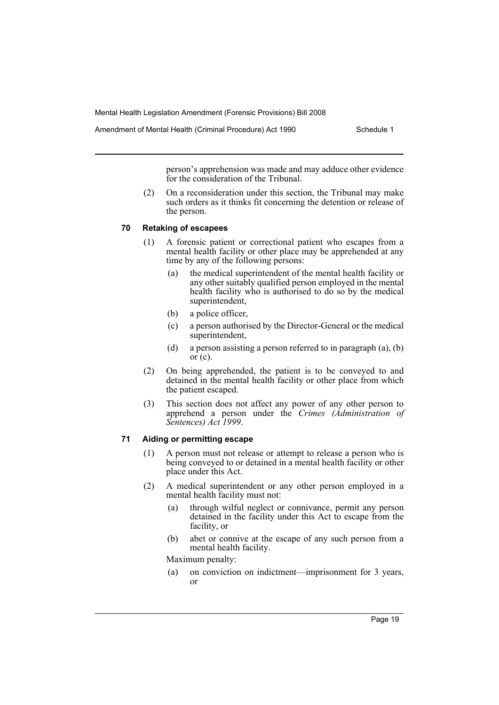Amendment of Mental Health (Criminal Procedure) Act 1990 Schedule 1

person's apprehension was made and may adduce other evidence for the consideration of the Tribunal.

(2) On a reconsideration under this section, the Tribunal may make such orders as it thinks fit concerning the detention or release of the person.

#### **70 Retaking of escapees**

- (1) A forensic patient or correctional patient who escapes from a mental health facility or other place may be apprehended at any time by any of the following persons:
	- (a) the medical superintendent of the mental health facility or any other suitably qualified person employed in the mental health facility who is authorised to do so by the medical superintendent,
	- (b) a police officer,
	- (c) a person authorised by the Director-General or the medical superintendent,
	- (d) a person assisting a person referred to in paragraph (a), (b) or  $(c)$ .
- (2) On being apprehended, the patient is to be conveyed to and detained in the mental health facility or other place from which the patient escaped.
- (3) This section does not affect any power of any other person to apprehend a person under the *Crimes (Administration of Sentences) Act 1999*.

#### **71 Aiding or permitting escape**

- (1) A person must not release or attempt to release a person who is being conveyed to or detained in a mental health facility or other place under this Act.
- (2) A medical superintendent or any other person employed in a mental health facility must not:
	- (a) through wilful neglect or connivance, permit any person detained in the facility under this Act to escape from the facility, or
	- (b) abet or connive at the escape of any such person from a mental health facility.

Maximum penalty:

(a) on conviction on indictment—imprisonment for 3 years, or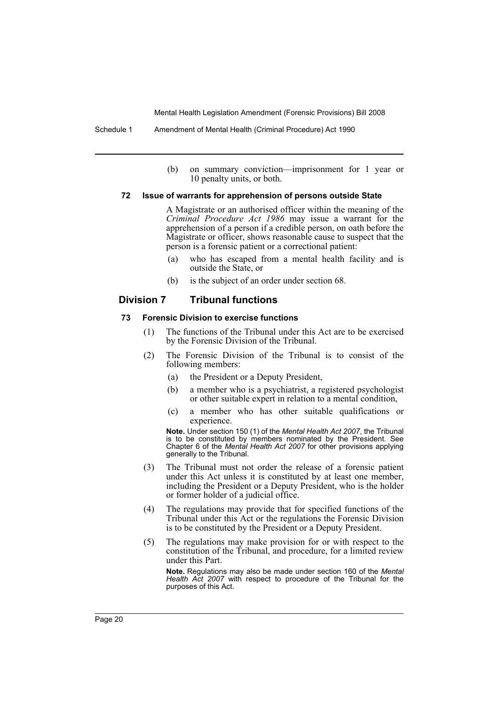Schedule 1 Amendment of Mental Health (Criminal Procedure) Act 1990

(b) on summary conviction—imprisonment for 1 year or 10 penalty units, or both.

#### **72 Issue of warrants for apprehension of persons outside State**

A Magistrate or an authorised officer within the meaning of the *Criminal Procedure Act 1986* may issue a warrant for the apprehension of a person if a credible person, on oath before the Magistrate or officer, shows reasonable cause to suspect that the person is a forensic patient or a correctional patient:

- (a) who has escaped from a mental health facility and is outside the State, or
- (b) is the subject of an order under section 68.

## **Division 7 Tribunal functions**

#### **73 Forensic Division to exercise functions**

- (1) The functions of the Tribunal under this Act are to be exercised by the Forensic Division of the Tribunal.
- (2) The Forensic Division of the Tribunal is to consist of the following members:
	- (a) the President or a Deputy President,
	- (b) a member who is a psychiatrist, a registered psychologist or other suitable expert in relation to a mental condition,
	- (c) a member who has other suitable qualifications or experience.

**Note.** Under section 150 (1) of the *Mental Health Act 2007*, the Tribunal is to be constituted by members nominated by the President. See Chapter 6 of the *Mental Health Act 2007* for other provisions applying generally to the Tribunal.

- (3) The Tribunal must not order the release of a forensic patient under this Act unless it is constituted by at least one member, including the President or a Deputy President, who is the holder or former holder of a judicial office.
- (4) The regulations may provide that for specified functions of the Tribunal under this Act or the regulations the Forensic Division is to be constituted by the President or a Deputy President.
- (5) The regulations may make provision for or with respect to the constitution of the Tribunal, and procedure, for a limited review under this Part.

**Note.** Regulations may also be made under section 160 of the *Mental Health Act 2007* with respect to procedure of the Tribunal for the purposes of this Act.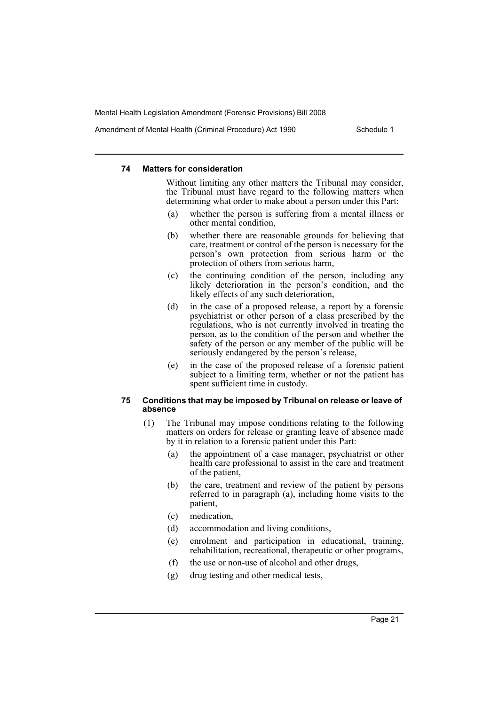Amendment of Mental Health (Criminal Procedure) Act 1990 Schedule 1

#### **74 Matters for consideration**

Without limiting any other matters the Tribunal may consider, the Tribunal must have regard to the following matters when determining what order to make about a person under this Part:

- (a) whether the person is suffering from a mental illness or other mental condition,
- (b) whether there are reasonable grounds for believing that care, treatment or control of the person is necessary for the person's own protection from serious harm or the protection of others from serious harm,
- (c) the continuing condition of the person, including any likely deterioration in the person's condition, and the likely effects of any such deterioration,
- (d) in the case of a proposed release, a report by a forensic psychiatrist or other person of a class prescribed by the regulations, who is not currently involved in treating the person, as to the condition of the person and whether the safety of the person or any member of the public will be seriously endangered by the person's release,
- (e) in the case of the proposed release of a forensic patient subject to a limiting term, whether or not the patient has spent sufficient time in custody.

#### **75 Conditions that may be imposed by Tribunal on release or leave of absence**

- (1) The Tribunal may impose conditions relating to the following matters on orders for release or granting leave of absence made by it in relation to a forensic patient under this Part:
	- (a) the appointment of a case manager, psychiatrist or other health care professional to assist in the care and treatment of the patient,
	- (b) the care, treatment and review of the patient by persons referred to in paragraph (a), including home visits to the patient,
	- (c) medication,
	- (d) accommodation and living conditions,
	- (e) enrolment and participation in educational, training, rehabilitation, recreational, therapeutic or other programs,
	- (f) the use or non-use of alcohol and other drugs,
	- (g) drug testing and other medical tests,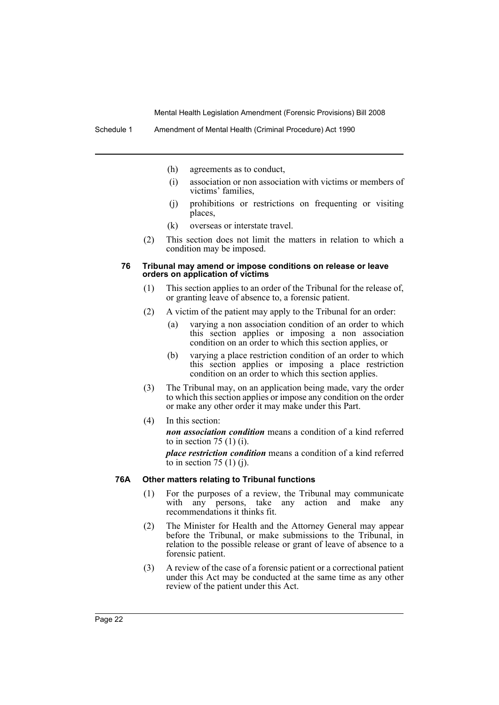- (h) agreements as to conduct,
- (i) association or non association with victims or members of victims' families,
- (j) prohibitions or restrictions on frequenting or visiting places,
- (k) overseas or interstate travel.
- (2) This section does not limit the matters in relation to which a condition may be imposed.

#### **76 Tribunal may amend or impose conditions on release or leave orders on application of victims**

- (1) This section applies to an order of the Tribunal for the release of, or granting leave of absence to, a forensic patient.
- (2) A victim of the patient may apply to the Tribunal for an order:
	- (a) varying a non association condition of an order to which this section applies or imposing a non association condition on an order to which this section applies, or
	- (b) varying a place restriction condition of an order to which this section applies or imposing a place restriction condition on an order to which this section applies.
- (3) The Tribunal may, on an application being made, vary the order to which this section applies or impose any condition on the order or make any other order it may make under this Part.
- (4) In this section:

*non association condition* means a condition of a kind referred to in section 75  $(1)$  (i).

*place restriction condition* means a condition of a kind referred to in section 75  $(1)$  (j).

#### **76A Other matters relating to Tribunal functions**

- (1) For the purposes of a review, the Tribunal may communicate with any persons, take any action and make any recommendations it thinks fit.
- (2) The Minister for Health and the Attorney General may appear before the Tribunal, or make submissions to the Tribunal, in relation to the possible release or grant of leave of absence to a forensic patient.
- (3) A review of the case of a forensic patient or a correctional patient under this Act may be conducted at the same time as any other review of the patient under this Act.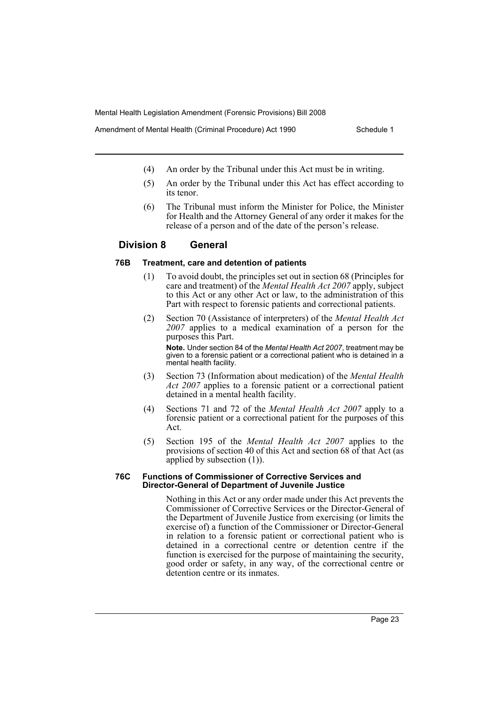- (4) An order by the Tribunal under this Act must be in writing.
- (5) An order by the Tribunal under this Act has effect according to its tenor.
- (6) The Tribunal must inform the Minister for Police, the Minister for Health and the Attorney General of any order it makes for the release of a person and of the date of the person's release.

## **Division 8 General**

## **76B Treatment, care and detention of patients**

- (1) To avoid doubt, the principles set out in section 68 (Principles for care and treatment) of the *Mental Health Act 2007* apply, subject to this Act or any other Act or law, to the administration of this Part with respect to forensic patients and correctional patients.
- (2) Section 70 (Assistance of interpreters) of the *Mental Health Act 2007* applies to a medical examination of a person for the purposes this Part.

**Note.** Under section 84 of the *Mental Health Act 2007*, treatment may be given to a forensic patient or a correctional patient who is detained in a mental health facility.

- (3) Section 73 (Information about medication) of the *Mental Health Act 2007* applies to a forensic patient or a correctional patient detained in a mental health facility.
- (4) Sections 71 and 72 of the *Mental Health Act 2007* apply to a forensic patient or a correctional patient for the purposes of this Act.
- (5) Section 195 of the *Mental Health Act 2007* applies to the provisions of section 40 of this Act and section 68 of that Act (as applied by subsection (1)).

#### **76C Functions of Commissioner of Corrective Services and Director-General of Department of Juvenile Justice**

Nothing in this Act or any order made under this Act prevents the Commissioner of Corrective Services or the Director-General of the Department of Juvenile Justice from exercising (or limits the exercise of) a function of the Commissioner or Director-General in relation to a forensic patient or correctional patient who is detained in a correctional centre or detention centre if the function is exercised for the purpose of maintaining the security, good order or safety, in any way, of the correctional centre or detention centre or its inmates.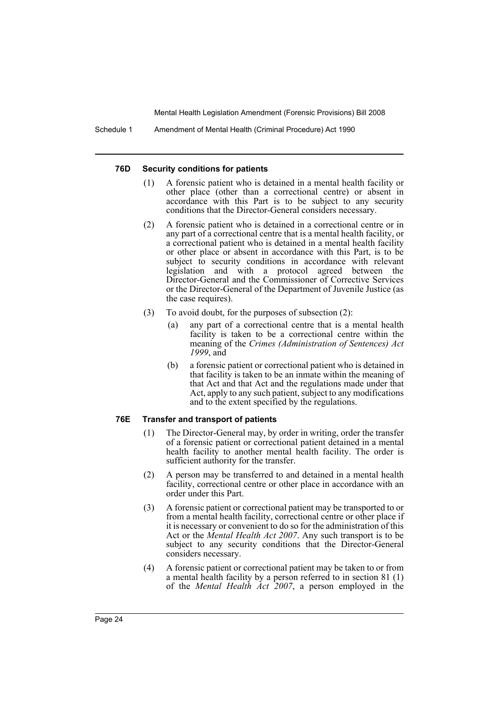Schedule 1 Amendment of Mental Health (Criminal Procedure) Act 1990

#### **76D Security conditions for patients**

- (1) A forensic patient who is detained in a mental health facility or other place (other than a correctional centre) or absent in accordance with this Part is to be subject to any security conditions that the Director-General considers necessary.
- (2) A forensic patient who is detained in a correctional centre or in any part of a correctional centre that is a mental health facility, or a correctional patient who is detained in a mental health facility or other place or absent in accordance with this Part, is to be subject to security conditions in accordance with relevant legislation and with a protocol agreed between the Director-General and the Commissioner of Corrective Services or the Director-General of the Department of Juvenile Justice (as the case requires).
- (3) To avoid doubt, for the purposes of subsection (2):
	- (a) any part of a correctional centre that is a mental health facility is taken to be a correctional centre within the meaning of the *Crimes (Administration of Sentences) Act 1999*, and
	- (b) a forensic patient or correctional patient who is detained in that facility is taken to be an inmate within the meaning of that Act and that Act and the regulations made under that Act, apply to any such patient, subject to any modifications and to the extent specified by the regulations.

#### **76E Transfer and transport of patients**

- (1) The Director-General may, by order in writing, order the transfer of a forensic patient or correctional patient detained in a mental health facility to another mental health facility. The order is sufficient authority for the transfer.
- (2) A person may be transferred to and detained in a mental health facility, correctional centre or other place in accordance with an order under this Part.
- (3) A forensic patient or correctional patient may be transported to or from a mental health facility, correctional centre or other place if it is necessary or convenient to do so for the administration of this Act or the *Mental Health Act 2007*. Any such transport is to be subject to any security conditions that the Director-General considers necessary.
- (4) A forensic patient or correctional patient may be taken to or from a mental health facility by a person referred to in section 81 (1) of the *Mental Health Act 2007*, a person employed in the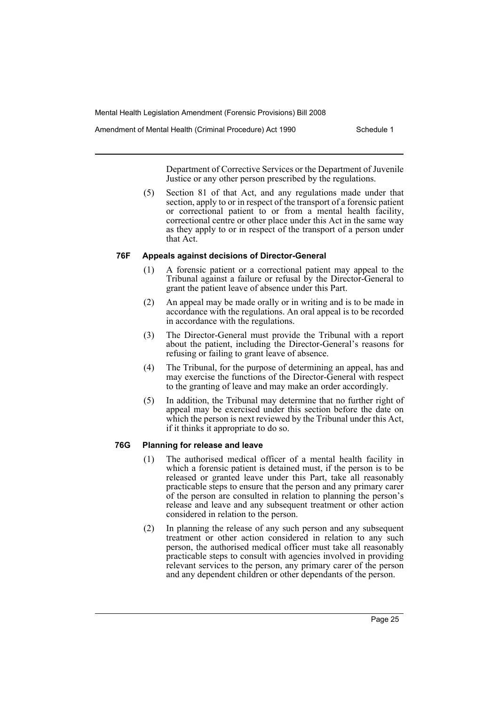Amendment of Mental Health (Criminal Procedure) Act 1990 Schedule 1

Department of Corrective Services or the Department of Juvenile Justice or any other person prescribed by the regulations.

(5) Section 81 of that Act, and any regulations made under that section, apply to or in respect of the transport of a forensic patient or correctional patient to or from a mental health facility, correctional centre or other place under this Act in the same way as they apply to or in respect of the transport of a person under that Act.

## **76F Appeals against decisions of Director-General**

- (1) A forensic patient or a correctional patient may appeal to the Tribunal against a failure or refusal by the Director-General to grant the patient leave of absence under this Part.
- (2) An appeal may be made orally or in writing and is to be made in accordance with the regulations. An oral appeal is to be recorded in accordance with the regulations.
- (3) The Director-General must provide the Tribunal with a report about the patient, including the Director-General's reasons for refusing or failing to grant leave of absence.
- (4) The Tribunal, for the purpose of determining an appeal, has and may exercise the functions of the Director-General with respect to the granting of leave and may make an order accordingly.
- (5) In addition, the Tribunal may determine that no further right of appeal may be exercised under this section before the date on which the person is next reviewed by the Tribunal under this Act, if it thinks it appropriate to do so.

## **76G Planning for release and leave**

- (1) The authorised medical officer of a mental health facility in which a forensic patient is detained must, if the person is to be released or granted leave under this Part, take all reasonably practicable steps to ensure that the person and any primary carer of the person are consulted in relation to planning the person's release and leave and any subsequent treatment or other action considered in relation to the person.
- (2) In planning the release of any such person and any subsequent treatment or other action considered in relation to any such person, the authorised medical officer must take all reasonably practicable steps to consult with agencies involved in providing relevant services to the person, any primary carer of the person and any dependent children or other dependants of the person.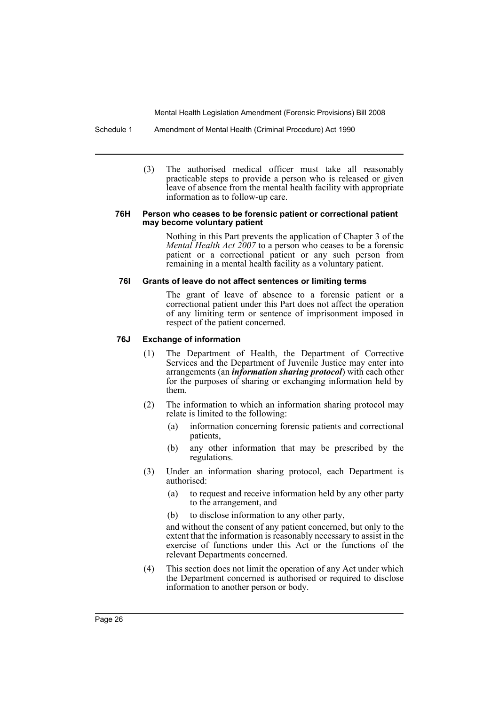Schedule 1 Amendment of Mental Health (Criminal Procedure) Act 1990

(3) The authorised medical officer must take all reasonably practicable steps to provide a person who is released or given leave of absence from the mental health facility with appropriate information as to follow-up care.

#### **76H Person who ceases to be forensic patient or correctional patient may become voluntary patient**

Nothing in this Part prevents the application of Chapter 3 of the *Mental Health Act 2007* to a person who ceases to be a forensic patient or a correctional patient or any such person from remaining in a mental health facility as a voluntary patient.

## **76I Grants of leave do not affect sentences or limiting terms**

The grant of leave of absence to a forensic patient or a correctional patient under this Part does not affect the operation of any limiting term or sentence of imprisonment imposed in respect of the patient concerned.

## **76J Exchange of information**

- (1) The Department of Health, the Department of Corrective Services and the Department of Juvenile Justice may enter into arrangements (an *information sharing protocol*) with each other for the purposes of sharing or exchanging information held by them.
- (2) The information to which an information sharing protocol may relate is limited to the following:
	- (a) information concerning forensic patients and correctional patients,
	- (b) any other information that may be prescribed by the regulations.
- (3) Under an information sharing protocol, each Department is authorised:
	- (a) to request and receive information held by any other party to the arrangement, and
	- (b) to disclose information to any other party,

and without the consent of any patient concerned, but only to the extent that the information is reasonably necessary to assist in the exercise of functions under this Act or the functions of the relevant Departments concerned.

(4) This section does not limit the operation of any Act under which the Department concerned is authorised or required to disclose information to another person or body.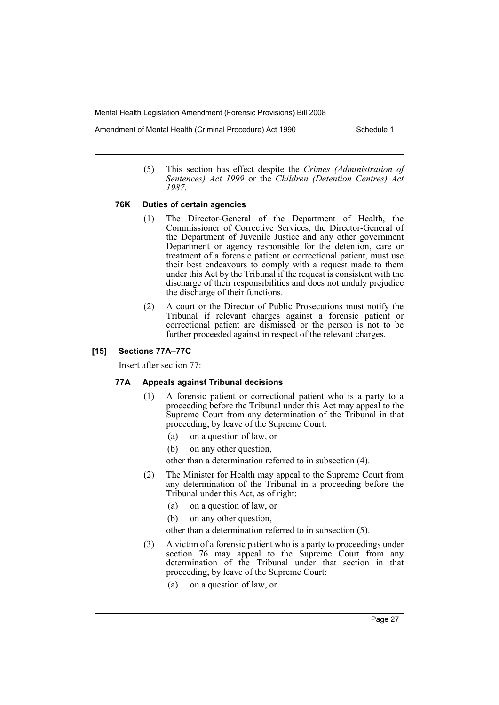Amendment of Mental Health (Criminal Procedure) Act 1990 Schedule 1

(5) This section has effect despite the *Crimes (Administration of Sentences) Act 1999* or the *Children (Detention Centres) Act 1987*.

#### **76K Duties of certain agencies**

- (1) The Director-General of the Department of Health, the Commissioner of Corrective Services, the Director-General of the Department of Juvenile Justice and any other government Department or agency responsible for the detention, care or treatment of a forensic patient or correctional patient, must use their best endeavours to comply with a request made to them under this Act by the Tribunal if the request is consistent with the discharge of their responsibilities and does not unduly prejudice the discharge of their functions.
- (2) A court or the Director of Public Prosecutions must notify the Tribunal if relevant charges against a forensic patient or correctional patient are dismissed or the person is not to be further proceeded against in respect of the relevant charges.

#### **[15] Sections 77A–77C**

Insert after section 77:

#### **77A Appeals against Tribunal decisions**

- (1) A forensic patient or correctional patient who is a party to a proceeding before the Tribunal under this Act may appeal to the Supreme Court from any determination of the Tribunal in that proceeding, by leave of the Supreme Court:
	- (a) on a question of law, or
	- (b) on any other question,

other than a determination referred to in subsection (4).

- (2) The Minister for Health may appeal to the Supreme Court from any determination of the Tribunal in a proceeding before the Tribunal under this Act, as of right:
	- (a) on a question of law, or
	- (b) on any other question,

other than a determination referred to in subsection (5).

- (3) A victim of a forensic patient who is a party to proceedings under section 76 may appeal to the Supreme Court from any determination of the Tribunal under that section in that proceeding, by leave of the Supreme Court:
	- (a) on a question of law, or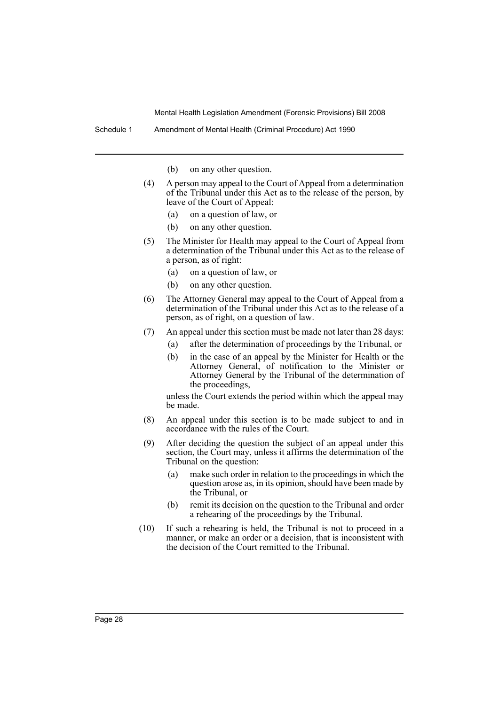- (b) on any other question.
- (4) A person may appeal to the Court of Appeal from a determination of the Tribunal under this Act as to the release of the person, by leave of the Court of Appeal:
	- (a) on a question of law, or
	- (b) on any other question.
- (5) The Minister for Health may appeal to the Court of Appeal from a determination of the Tribunal under this Act as to the release of a person, as of right:
	- (a) on a question of law, or
	- (b) on any other question.
- (6) The Attorney General may appeal to the Court of Appeal from a determination of the Tribunal under this Act as to the release of a person, as of right, on a question of law.
- (7) An appeal under this section must be made not later than 28 days:
	- (a) after the determination of proceedings by the Tribunal, or
	- (b) in the case of an appeal by the Minister for Health or the Attorney General, of notification to the Minister or Attorney General by the Tribunal of the determination of the proceedings,

unless the Court extends the period within which the appeal may be made.

- (8) An appeal under this section is to be made subject to and in accordance with the rules of the Court.
- (9) After deciding the question the subject of an appeal under this section, the Court may, unless it affirms the determination of the Tribunal on the question:
	- (a) make such order in relation to the proceedings in which the question arose as, in its opinion, should have been made by the Tribunal, or
	- (b) remit its decision on the question to the Tribunal and order a rehearing of the proceedings by the Tribunal.
- (10) If such a rehearing is held, the Tribunal is not to proceed in a manner, or make an order or a decision, that is inconsistent with the decision of the Court remitted to the Tribunal.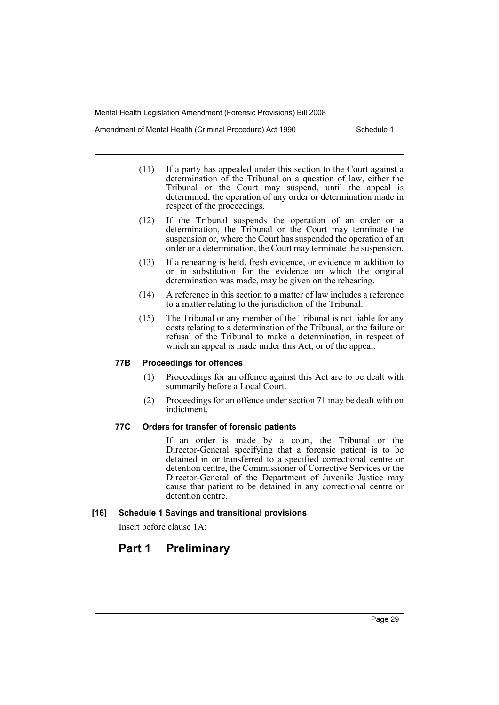Amendment of Mental Health (Criminal Procedure) Act 1990 Schedule 1

- (11) If a party has appealed under this section to the Court against a determination of the Tribunal on a question of law, either the Tribunal or the Court may suspend, until the appeal is determined, the operation of any order or determination made in respect of the proceedings.
- (12) If the Tribunal suspends the operation of an order or a determination, the Tribunal or the Court may terminate the suspension or, where the Court has suspended the operation of an order or a determination, the Court may terminate the suspension.
- (13) If a rehearing is held, fresh evidence, or evidence in addition to or in substitution for the evidence on which the original determination was made, may be given on the rehearing.
- (14) A reference in this section to a matter of law includes a reference to a matter relating to the jurisdiction of the Tribunal.
- (15) The Tribunal or any member of the Tribunal is not liable for any costs relating to a determination of the Tribunal, or the failure or refusal of the Tribunal to make a determination, in respect of which an appeal is made under this Act, or of the appeal.

## **77B Proceedings for offences**

- (1) Proceedings for an offence against this Act are to be dealt with summarily before a Local Court.
- (2) Proceedings for an offence under section 71 may be dealt with on indictment.

## **77C Orders for transfer of forensic patients**

If an order is made by a court, the Tribunal or the Director-General specifying that a forensic patient is to be detained in or transferred to a specified correctional centre or detention centre, the Commissioner of Corrective Services or the Director-General of the Department of Juvenile Justice may cause that patient to be detained in any correctional centre or detention centre.

## **[16] Schedule 1 Savings and transitional provisions**

Insert before clause 1A:

## **Part 1 Preliminary**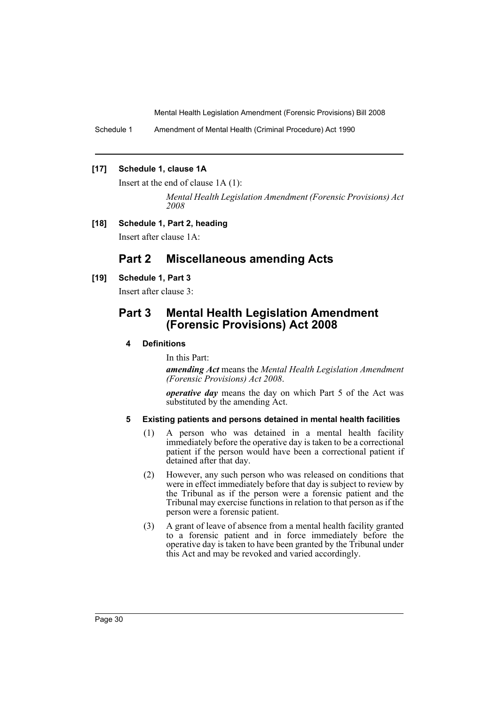Schedule 1 Amendment of Mental Health (Criminal Procedure) Act 1990

## **[17] Schedule 1, clause 1A**

Insert at the end of clause 1A (1):

*Mental Health Legislation Amendment (Forensic Provisions) Act 2008*

## **[18] Schedule 1, Part 2, heading**

Insert after clause 1A:

## **Part 2 Miscellaneous amending Acts**

## **[19] Schedule 1, Part 3**

Insert after clause 3:

## **Part 3 Mental Health Legislation Amendment (Forensic Provisions) Act 2008**

## **4 Definitions**

In this Part:

*amending Act* means the *Mental Health Legislation Amendment (Forensic Provisions) Act 2008*.

*operative day* means the day on which Part 5 of the Act was substituted by the amending Act.

## **5 Existing patients and persons detained in mental health facilities**

- (1) A person who was detained in a mental health facility immediately before the operative day is taken to be a correctional patient if the person would have been a correctional patient if detained after that day.
- (2) However, any such person who was released on conditions that were in effect immediately before that day is subject to review by the Tribunal as if the person were a forensic patient and the Tribunal may exercise functions in relation to that person as if the person were a forensic patient.
- (3) A grant of leave of absence from a mental health facility granted to a forensic patient and in force immediately before the operative day is taken to have been granted by the Tribunal under this Act and may be revoked and varied accordingly.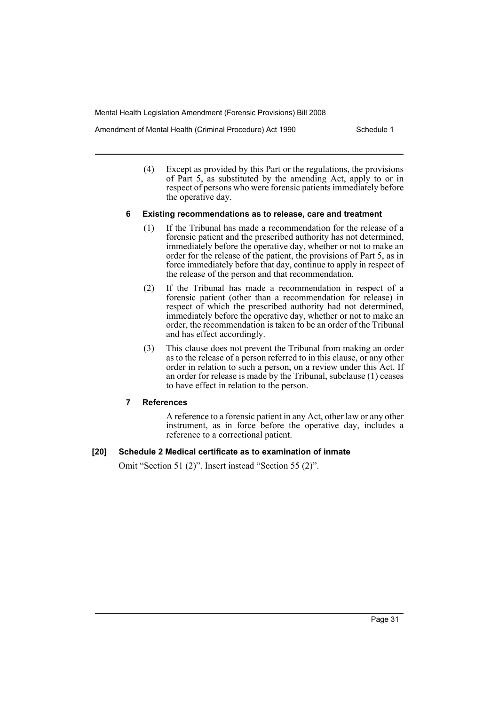Amendment of Mental Health (Criminal Procedure) Act 1990 Schedule 1

(4) Except as provided by this Part or the regulations, the provisions of Part 5, as substituted by the amending Act, apply to or in respect of persons who were forensic patients immediately before the operative day.

#### **6 Existing recommendations as to release, care and treatment**

- (1) If the Tribunal has made a recommendation for the release of a forensic patient and the prescribed authority has not determined, immediately before the operative day, whether or not to make an order for the release of the patient, the provisions of Part 5, as in force immediately before that day, continue to apply in respect of the release of the person and that recommendation.
- (2) If the Tribunal has made a recommendation in respect of a forensic patient (other than a recommendation for release) in respect of which the prescribed authority had not determined, immediately before the operative day, whether or not to make an order, the recommendation is taken to be an order of the Tribunal and has effect accordingly.
- (3) This clause does not prevent the Tribunal from making an order as to the release of a person referred to in this clause, or any other order in relation to such a person, on a review under this Act. If an order for release is made by the Tribunal, subclause (1) ceases to have effect in relation to the person.

#### **7 References**

A reference to a forensic patient in any Act, other law or any other instrument, as in force before the operative day, includes a reference to a correctional patient.

#### **[20] Schedule 2 Medical certificate as to examination of inmate**

Omit "Section 51 (2)". Insert instead "Section 55 (2)".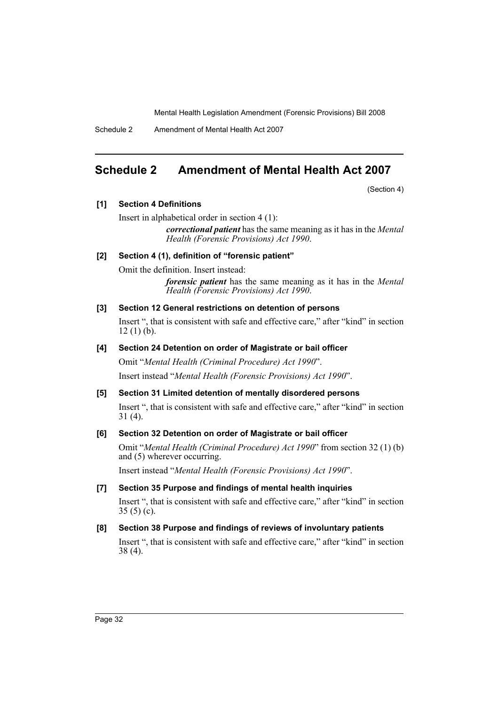Schedule 2 Amendment of Mental Health Act 2007

## <span id="page-33-0"></span>**Schedule 2 Amendment of Mental Health Act 2007**

(Section 4)

| [1]   | <b>Section 4 Definitions</b>                                                                                                                                    |  |
|-------|-----------------------------------------------------------------------------------------------------------------------------------------------------------------|--|
|       | Insert in alphabetical order in section $4(1)$ :<br>correctional patient has the same meaning as it has in the Mental<br>Health (Forensic Provisions) Act 1990. |  |
| $[2]$ | Section 4 (1), definition of "forensic patient"                                                                                                                 |  |
|       | Omit the definition. Insert instead:<br><i>forensic patient</i> has the same meaning as it has in the <i>Mental</i><br>Health (Forensic Provisions) Act 1990.   |  |
| $[3]$ | Section 12 General restrictions on detention of persons                                                                                                         |  |
|       | Insert ", that is consistent with safe and effective care," after "kind" in section<br>$12(1)(b)$ .                                                             |  |
| [4]   | Section 24 Detention on order of Magistrate or bail officer                                                                                                     |  |
|       | Omit "Mental Health (Criminal Procedure) Act 1990".                                                                                                             |  |
|       | Insert instead "Mental Health (Forensic Provisions) Act 1990".                                                                                                  |  |
| [5]   | Section 31 Limited detention of mentally disordered persons                                                                                                     |  |
|       | Insert ", that is consistent with safe and effective care," after "kind" in section<br>$31(4)$ .                                                                |  |
| [6]   | Section 32 Detention on order of Magistrate or bail officer                                                                                                     |  |
|       | Omit "Mental Health (Criminal Procedure) Act 1990" from section 32(1)(b)<br>and (5) wherever occurring.                                                         |  |
|       | Insert instead "Mental Health (Forensic Provisions) Act 1990".                                                                                                  |  |
| [7]   | Section 35 Purpose and findings of mental health inquiries                                                                                                      |  |
|       | Insert ", that is consistent with safe and effective care," after "kind" in section<br>$35(5)(c)$ .                                                             |  |
| [8]   | Section 38 Purpose and findings of reviews of involuntary patients                                                                                              |  |
|       | Insert ", that is consistent with safe and effective care," after "kind" in section<br>$38(4)$ .                                                                |  |
|       |                                                                                                                                                                 |  |
|       |                                                                                                                                                                 |  |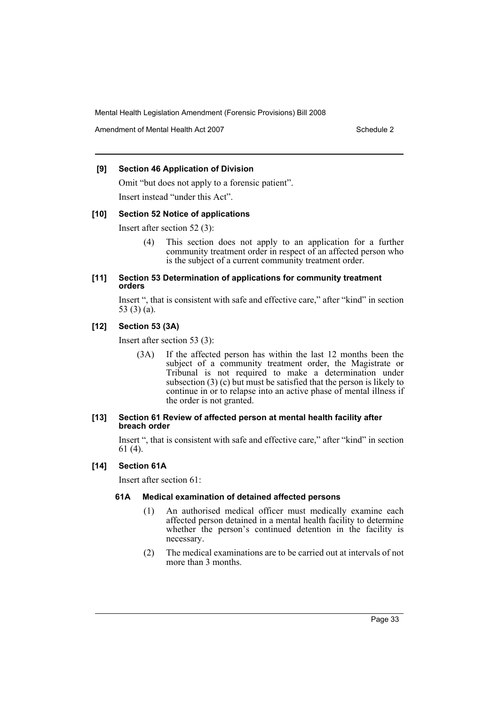Amendment of Mental Health Act 2007 Schedule 2

## **[9] Section 46 Application of Division**

Omit "but does not apply to a forensic patient". Insert instead "under this Act".

## **[10] Section 52 Notice of applications**

Insert after section 52 (3):

(4) This section does not apply to an application for a further community treatment order in respect of an affected person who is the subject of a current community treatment order.

## **[11] Section 53 Determination of applications for community treatment orders**

Insert ", that is consistent with safe and effective care," after "kind" in section 53 (3) (a).

## **[12] Section 53 (3A)**

Insert after section 53 (3):

(3A) If the affected person has within the last 12 months been the subject of a community treatment order, the Magistrate or Tribunal is not required to make a determination under subsection  $(3)$  (c) but must be satisfied that the person is likely to continue in or to relapse into an active phase of mental illness if the order is not granted.

## **[13] Section 61 Review of affected person at mental health facility after breach order**

Insert ", that is consistent with safe and effective care," after "kind" in section 61 (4).

## **[14] Section 61A**

Insert after section 61:

## **61A Medical examination of detained affected persons**

- (1) An authorised medical officer must medically examine each affected person detained in a mental health facility to determine whether the person's continued detention in the facility is necessary.
- (2) The medical examinations are to be carried out at intervals of not more than 3 months.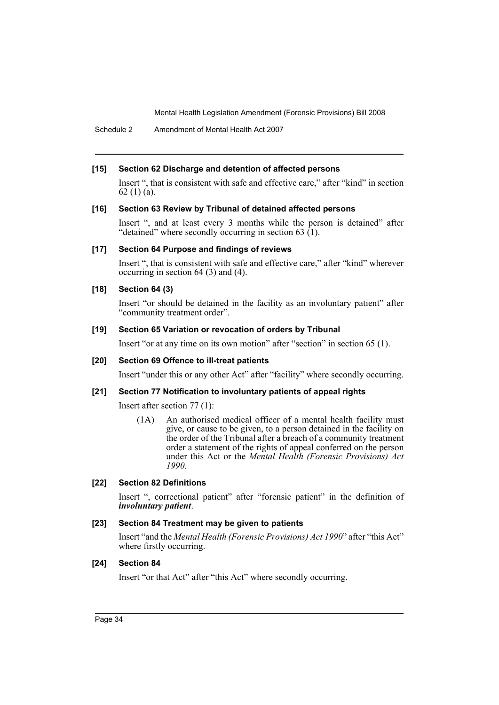Schedule 2 Amendment of Mental Health Act 2007

#### **[15] Section 62 Discharge and detention of affected persons**

Insert ", that is consistent with safe and effective care," after "kind" in section 62 (1) (a).

## **[16] Section 63 Review by Tribunal of detained affected persons**

Insert ", and at least every 3 months while the person is detained" after "detained" where secondly occurring in section 63  $(1)$ .

## **[17] Section 64 Purpose and findings of reviews**

Insert ", that is consistent with safe and effective care," after "kind" wherever occurring in section 64 (3) and (4).

## **[18] Section 64 (3)**

Insert "or should be detained in the facility as an involuntary patient" after "community treatment order".

## **[19] Section 65 Variation or revocation of orders by Tribunal**

Insert "or at any time on its own motion" after "section" in section 65 (1).

#### **[20] Section 69 Offence to ill-treat patients**

Insert "under this or any other Act" after "facility" where secondly occurring.

## **[21] Section 77 Notification to involuntary patients of appeal rights**

Insert after section 77 (1):

(1A) An authorised medical officer of a mental health facility must give, or cause to be given, to a person detained in the facility on the order of the Tribunal after a breach of a community treatment order a statement of the rights of appeal conferred on the person under this Act or the *Mental Health (Forensic Provisions) Act 1990*.

## **[22] Section 82 Definitions**

Insert ", correctional patient" after "forensic patient" in the definition of *involuntary patient*.

## **[23] Section 84 Treatment may be given to patients**

Insert "and the *Mental Health (Forensic Provisions) Act 1990*" after "this Act" where firstly occurring.

## **[24] Section 84**

Insert "or that Act" after "this Act" where secondly occurring.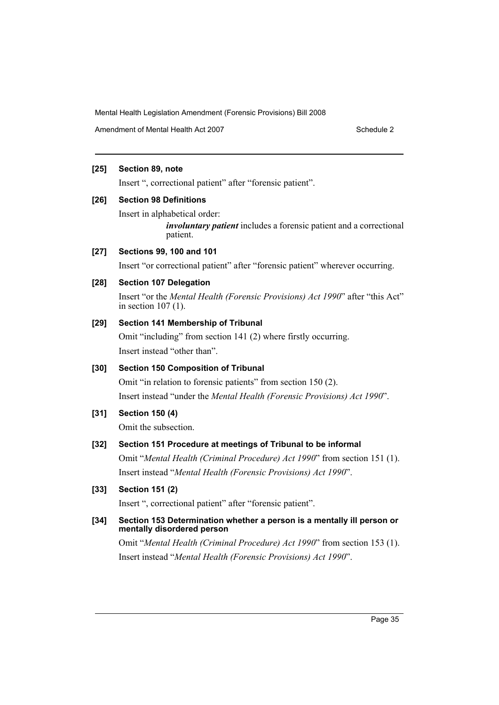Amendment of Mental Health Act 2007 Schedule 2

#### **[25] Section 89, note**

Insert ", correctional patient" after "forensic patient".

## **[26] Section 98 Definitions**

Insert in alphabetical order:

*involuntary patient* includes a forensic patient and a correctional patient.

## **[27] Sections 99, 100 and 101**

Insert "or correctional patient" after "forensic patient" wherever occurring.

## **[28] Section 107 Delegation**

Insert "or the *Mental Health (Forensic Provisions) Act 1990*" after "this Act" in section 107 (1).

## **[29] Section 141 Membership of Tribunal**

Omit "including" from section 141 (2) where firstly occurring. Insert instead "other than".

## **[30] Section 150 Composition of Tribunal**

Omit "in relation to forensic patients" from section 150 (2). Insert instead "under the *Mental Health (Forensic Provisions) Act 1990*".

## **[31] Section 150 (4)**

Omit the subsection.

## **[32] Section 151 Procedure at meetings of Tribunal to be informal**

Omit "*Mental Health (Criminal Procedure) Act 1990*" from section 151 (1). Insert instead "*Mental Health (Forensic Provisions) Act 1990*".

## **[33] Section 151 (2)**

Insert ", correctional patient" after "forensic patient".

## **[34] Section 153 Determination whether a person is a mentally ill person or mentally disordered person**

Omit "*Mental Health (Criminal Procedure) Act 1990*" from section 153 (1). Insert instead "*Mental Health (Forensic Provisions) Act 1990*".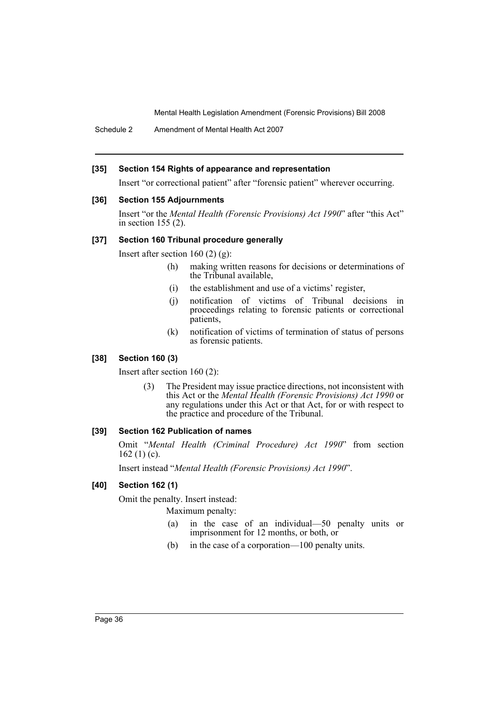Schedule 2 Amendment of Mental Health Act 2007

#### **[35] Section 154 Rights of appearance and representation**

Insert "or correctional patient" after "forensic patient" wherever occurring.

#### **[36] Section 155 Adjournments**

Insert "or the *Mental Health (Forensic Provisions) Act 1990*" after "this Act" in section 155 (2).

#### **[37] Section 160 Tribunal procedure generally**

Insert after section  $160(2)(g)$ :

- (h) making written reasons for decisions or determinations of the Tribunal available,
- (i) the establishment and use of a victims' register,
- (j) notification of victims of Tribunal decisions in proceedings relating to forensic patients or correctional patients,
- (k) notification of victims of termination of status of persons as forensic patients.

#### **[38] Section 160 (3)**

Insert after section 160 (2):

(3) The President may issue practice directions, not inconsistent with this Act or the *Mental Health (Forensic Provisions) Act 1990* or any regulations under this Act or that Act, for or with respect to the practice and procedure of the Tribunal.

## **[39] Section 162 Publication of names**

Omit "*Mental Health (Criminal Procedure) Act 1990*" from section  $162 (1) (c)$ .

Insert instead "*Mental Health (Forensic Provisions) Act 1990*".

## **[40] Section 162 (1)**

Omit the penalty. Insert instead:

Maximum penalty:

- (a) in the case of an individual—50 penalty units or imprisonment for 12 months, or both, or
- (b) in the case of a corporation—100 penalty units.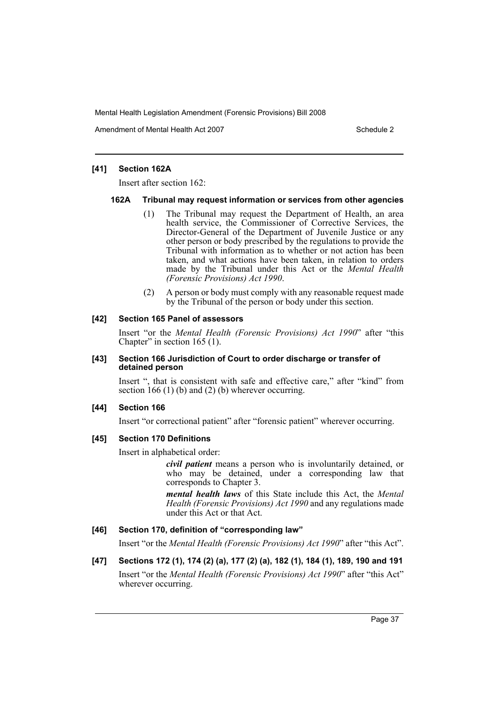Amendment of Mental Health Act 2007 Schedule 2

## **[41] Section 162A**

Insert after section 162:

#### **162A Tribunal may request information or services from other agencies**

- (1) The Tribunal may request the Department of Health, an area health service, the Commissioner of Corrective Services, the Director-General of the Department of Juvenile Justice or any other person or body prescribed by the regulations to provide the Tribunal with information as to whether or not action has been taken, and what actions have been taken, in relation to orders made by the Tribunal under this Act or the *Mental Health (Forensic Provisions) Act 1990*.
- (2) A person or body must comply with any reasonable request made by the Tribunal of the person or body under this section.

## **[42] Section 165 Panel of assessors**

Insert "or the *Mental Health (Forensic Provisions) Act 1990*" after "this Chapter" in section 165 (1).

#### **[43] Section 166 Jurisdiction of Court to order discharge or transfer of detained person**

Insert ", that is consistent with safe and effective care," after "kind" from section  $166$  (1) (b) and (2) (b) wherever occurring.

#### **[44] Section 166**

Insert "or correctional patient" after "forensic patient" wherever occurring.

## **[45] Section 170 Definitions**

Insert in alphabetical order:

*civil patient* means a person who is involuntarily detained, or who may be detained, under a corresponding law that corresponds to Chapter 3.

*mental health laws* of this State include this Act, the *Mental Health (Forensic Provisions) Act 1990* and any regulations made under this Act or that Act.

## **[46] Section 170, definition of "corresponding law"**

Insert "or the *Mental Health (Forensic Provisions) Act 1990*" after "this Act".

## **[47] Sections 172 (1), 174 (2) (a), 177 (2) (a), 182 (1), 184 (1), 189, 190 and 191**

Insert "or the *Mental Health (Forensic Provisions) Act 1990*" after "this Act" wherever occurring.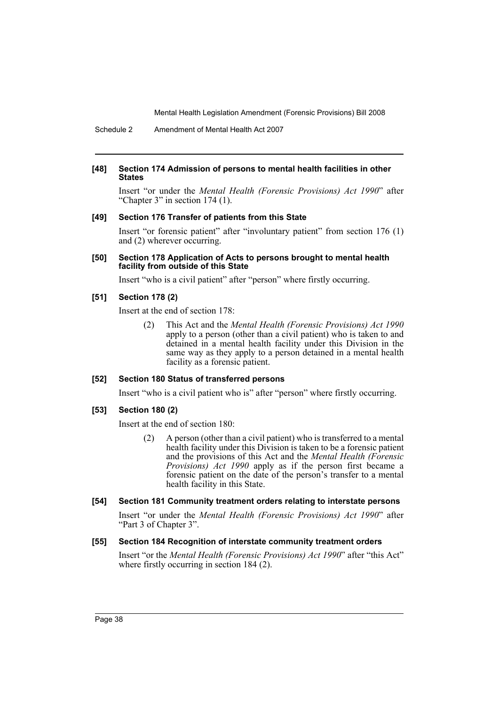Schedule 2 Amendment of Mental Health Act 2007

#### **[48] Section 174 Admission of persons to mental health facilities in other States**

Insert "or under the *Mental Health (Forensic Provisions) Act 1990*" after "Chapter  $3$ " in section 174 (1).

#### **[49] Section 176 Transfer of patients from this State**

Insert "or forensic patient" after "involuntary patient" from section 176 (1) and (2) wherever occurring.

#### **[50] Section 178 Application of Acts to persons brought to mental health facility from outside of this State**

Insert "who is a civil patient" after "person" where firstly occurring.

## **[51] Section 178 (2)**

Insert at the end of section 178:

(2) This Act and the *Mental Health (Forensic Provisions) Act 1990* apply to a person (other than a civil patient) who is taken to and detained in a mental health facility under this Division in the same way as they apply to a person detained in a mental health facility as a forensic patient.

#### **[52] Section 180 Status of transferred persons**

Insert "who is a civil patient who is" after "person" where firstly occurring.

## **[53] Section 180 (2)**

Insert at the end of section 180:

(2) A person (other than a civil patient) who is transferred to a mental health facility under this Division is taken to be a forensic patient and the provisions of this Act and the *Mental Health (Forensic Provisions) Act 1990* apply as if the person first became a forensic patient on the date of the person's transfer to a mental health facility in this State.

#### **[54] Section 181 Community treatment orders relating to interstate persons**

Insert "or under the *Mental Health (Forensic Provisions) Act 1990*" after "Part 3 of Chapter 3".

## **[55] Section 184 Recognition of interstate community treatment orders**

Insert "or the *Mental Health (Forensic Provisions) Act 1990*" after "this Act" where firstly occurring in section 184 (2).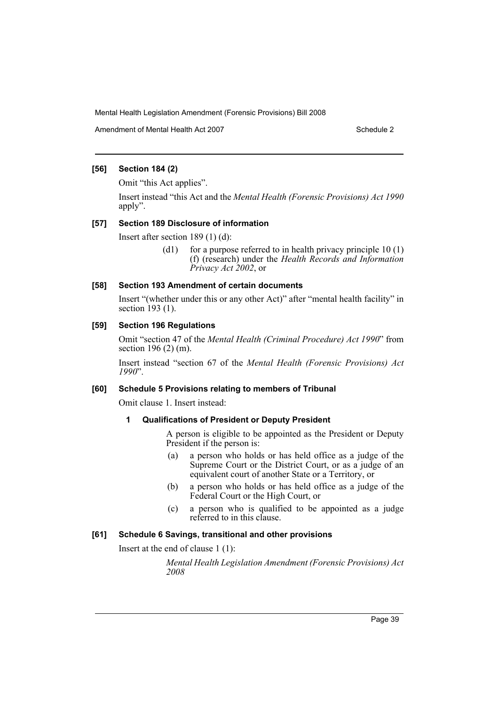Amendment of Mental Health Act 2007 Schedule 2

## **[56] Section 184 (2)**

Omit "this Act applies".

Insert instead "this Act and the *Mental Health (Forensic Provisions) Act 1990* apply".

## **[57] Section 189 Disclosure of information**

Insert after section 189 (1) (d):

(d1) for a purpose referred to in health privacy principle  $10(1)$ (f) (research) under the *Health Records and Information Privacy Act 2002*, or

#### **[58] Section 193 Amendment of certain documents**

Insert "(whether under this or any other Act)" after "mental health facility" in section 193 (1).

## **[59] Section 196 Regulations**

Omit "section 47 of the *Mental Health (Criminal Procedure) Act 1990*" from section 196 (2) (m).

Insert instead "section 67 of the *Mental Health (Forensic Provisions) Act 1990*".

## **[60] Schedule 5 Provisions relating to members of Tribunal**

Omit clause 1. Insert instead:

## **1 Qualifications of President or Deputy President**

A person is eligible to be appointed as the President or Deputy President if the person is:

- (a) a person who holds or has held office as a judge of the Supreme Court or the District Court, or as a judge of an equivalent court of another State or a Territory, or
- (b) a person who holds or has held office as a judge of the Federal Court or the High Court, or
- (c) a person who is qualified to be appointed as a judge referred to in this clause.

## **[61] Schedule 6 Savings, transitional and other provisions**

Insert at the end of clause 1 (1):

*Mental Health Legislation Amendment (Forensic Provisions) Act 2008*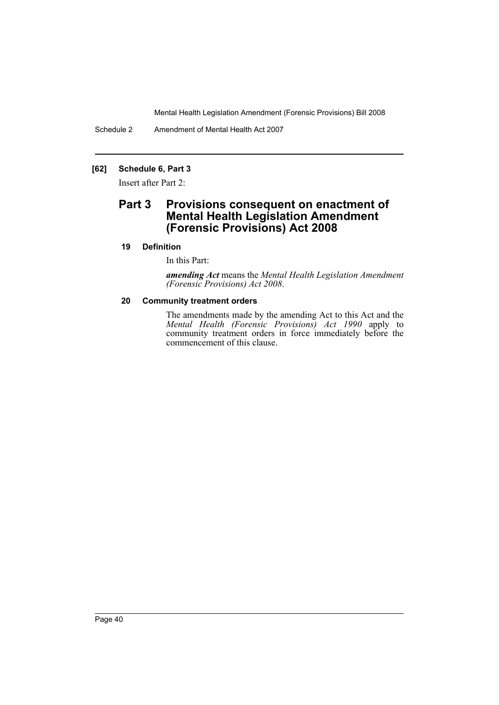Schedule 2 Amendment of Mental Health Act 2007

## **[62] Schedule 6, Part 3**

Insert after Part 2:

## **Part 3 Provisions consequent on enactment of Mental Health Legislation Amendment (Forensic Provisions) Act 2008**

## **19 Definition**

In this Part:

*amending Act* means the *Mental Health Legislation Amendment (Forensic Provisions) Act 2008*.

## **20 Community treatment orders**

The amendments made by the amending Act to this Act and the *Mental Health (Forensic Provisions) Act 1990* apply to community treatment orders in force immediately before the commencement of this clause.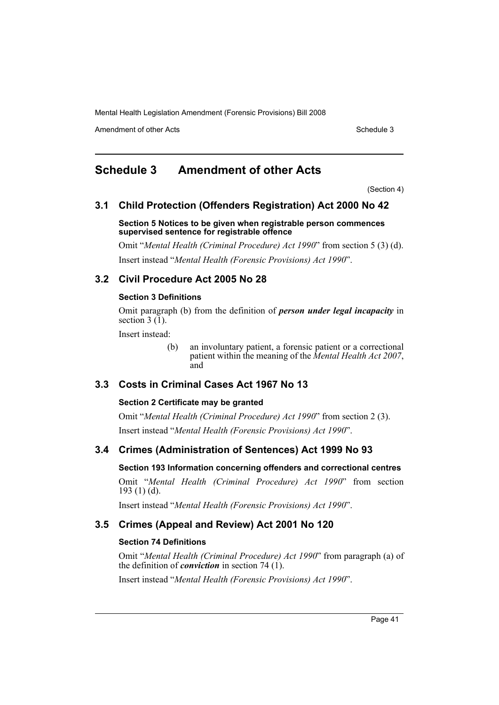Amendment of other Acts **Schedule 3** and the 3 set of the 3 set of the 3 set of the 3 set of the 3 set of the 3 set of the 3 set of the 3 set of the 3 set of the 3 set of the 3 set of the 3 set of the 3 set of the 3 set of

## <span id="page-42-0"></span>**Schedule 3 Amendment of other Acts**

(Section 4)

## **3.1 Child Protection (Offenders Registration) Act 2000 No 42**

**Section 5 Notices to be given when registrable person commences supervised sentence for registrable offence**

Omit "*Mental Health (Criminal Procedure) Act 1990*" from section 5 (3) (d).

Insert instead "*Mental Health (Forensic Provisions) Act 1990*".

## **3.2 Civil Procedure Act 2005 No 28**

## **Section 3 Definitions**

Omit paragraph (b) from the definition of *person under legal incapacity* in section  $3(\tilde{1})$ .

Insert instead:

(b) an involuntary patient, a forensic patient or a correctional patient within the meaning of the *Mental Health Act 2007*, and

## **3.3 Costs in Criminal Cases Act 1967 No 13**

## **Section 2 Certificate may be granted**

Omit "*Mental Health (Criminal Procedure) Act 1990*" from section 2 (3). Insert instead "*Mental Health (Forensic Provisions) Act 1990*".

## **3.4 Crimes (Administration of Sentences) Act 1999 No 93**

## **Section 193 Information concerning offenders and correctional centres**

Omit "*Mental Health (Criminal Procedure) Act 1990*" from section 193 (1) (d).

Insert instead "*Mental Health (Forensic Provisions) Act 1990*".

## **3.5 Crimes (Appeal and Review) Act 2001 No 120**

#### **Section 74 Definitions**

Omit "*Mental Health (Criminal Procedure) Act 1990*" from paragraph (a) of the definition of *conviction* in section 74 $(1)$ .

Insert instead "*Mental Health (Forensic Provisions) Act 1990*".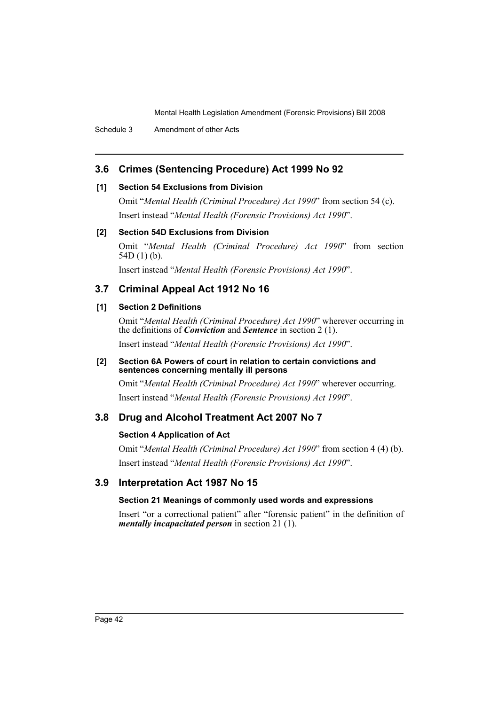Schedule 3 Amendment of other Acts

## **3.6 Crimes (Sentencing Procedure) Act 1999 No 92**

## **[1] Section 54 Exclusions from Division**

Omit "*Mental Health (Criminal Procedure) Act 1990*" from section 54 (c). Insert instead "*Mental Health (Forensic Provisions) Act 1990*".

## **[2] Section 54D Exclusions from Division**

Omit "*Mental Health (Criminal Procedure) Act 1990*" from section 54D (1) (b).

Insert instead "*Mental Health (Forensic Provisions) Act 1990*".

## **3.7 Criminal Appeal Act 1912 No 16**

## **[1] Section 2 Definitions**

Omit "*Mental Health (Criminal Procedure) Act 1990*" wherever occurring in the definitions of *Conviction* and *Sentence* in section 2 (1). Insert instead "*Mental Health (Forensic Provisions) Act 1990*".

## **[2] Section 6A Powers of court in relation to certain convictions and sentences concerning mentally ill persons**

Omit "*Mental Health (Criminal Procedure) Act 1990*" wherever occurring. Insert instead "*Mental Health (Forensic Provisions) Act 1990*".

## **3.8 Drug and Alcohol Treatment Act 2007 No 7**

## **Section 4 Application of Act**

Omit "*Mental Health (Criminal Procedure) Act 1990*" from section 4 (4) (b). Insert instead "*Mental Health (Forensic Provisions) Act 1990*".

## **3.9 Interpretation Act 1987 No 15**

## **Section 21 Meanings of commonly used words and expressions**

Insert "or a correctional patient" after "forensic patient" in the definition of *mentally incapacitated person* in section 21 (1).